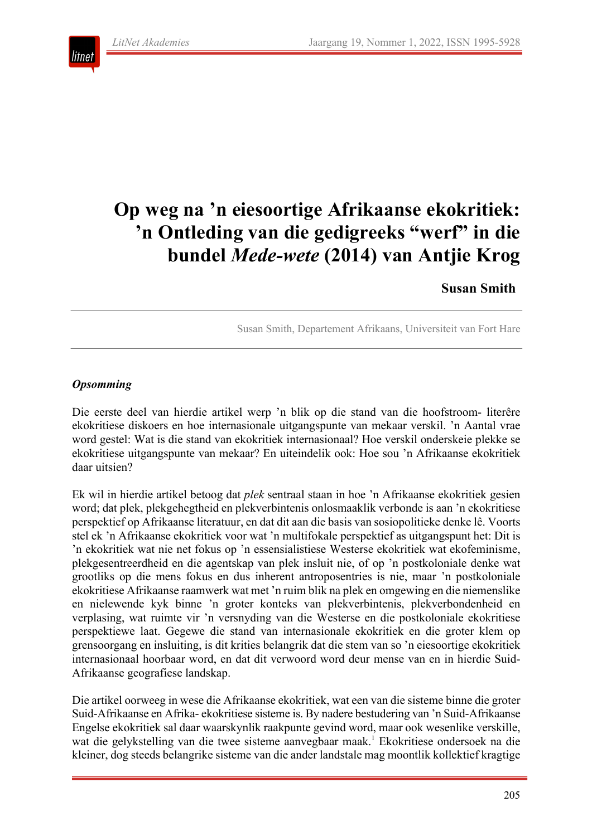

# **Op weg na 'n eiesoortige Afrikaanse ekokritiek: 'n Ontleding van die gedigreeks "werf" in die bundel** *Mede-wete* **(2014) van Antjie Krog**

# **Susan Smith**

Susan Smith, Departement Afrikaans, Universiteit van Fort Hare

#### *Opsomming*

Die eerste deel van hierdie artikel werp 'n blik op die stand van die hoofstroom- literêre ekokritiese diskoers en hoe internasionale uitgangspunte van mekaar verskil. 'n Aantal vrae word gestel: Wat is die stand van ekokritiek internasionaal? Hoe verskil onderskeie plekke se ekokritiese uitgangspunte van mekaar? En uiteindelik ook: Hoe sou 'n Afrikaanse ekokritiek daar uitsien?

Ek wil in hierdie artikel betoog dat *plek* sentraal staan in hoe 'n Afrikaanse ekokritiek gesien word; dat plek, plekgehegtheid en plekverbintenis onlosmaaklik verbonde is aan 'n ekokritiese perspektief op Afrikaanse literatuur, en dat dit aan die basis van sosiopolitieke denke lê. Voorts stel ek 'n Afrikaanse ekokritiek voor wat 'n multifokale perspektief as uitgangspunt het: Dit is 'n ekokritiek wat nie net fokus op 'n essensialistiese Westerse ekokritiek wat ekofeminisme, plekgesentreerdheid en die agentskap van plek insluit nie, of op 'n postkoloniale denke wat grootliks op die mens fokus en dus inherent antroposentries is nie, maar 'n postkoloniale ekokritiese Afrikaanse raamwerk wat met 'n ruim blik na plek en omgewing en die niemenslike en nielewende kyk binne 'n groter konteks van plekverbintenis, plekverbondenheid en verplasing, wat ruimte vir 'n versnyding van die Westerse en die postkoloniale ekokritiese perspektiewe laat. Gegewe die stand van internasionale ekokritiek en die groter klem op grensoorgang en insluiting, is dit krities belangrik dat die stem van so 'n eiesoortige ekokritiek internasionaal hoorbaar word, en dat dit verwoord word deur mense van en in hierdie Suid-Afrikaanse geografiese landskap.

Die artikel oorweeg in wese die Afrikaanse ekokritiek, wat een van die sisteme binne die groter Suid-Afrikaanse en Afrika- ekokritiese sisteme is. By nadere bestudering van 'n Suid-Afrikaanse Engelse ekokritiek sal daar waarskynlik raakpunte gevind word, maar ook wesenlike verskille, wat die gelykstelling van die twee sisteme aanvegbaar maak.<sup>1</sup> Ekokritiese ondersoek na die kleiner, dog steeds belangrike sisteme van die ander landstale mag moontlik kollektief kragtige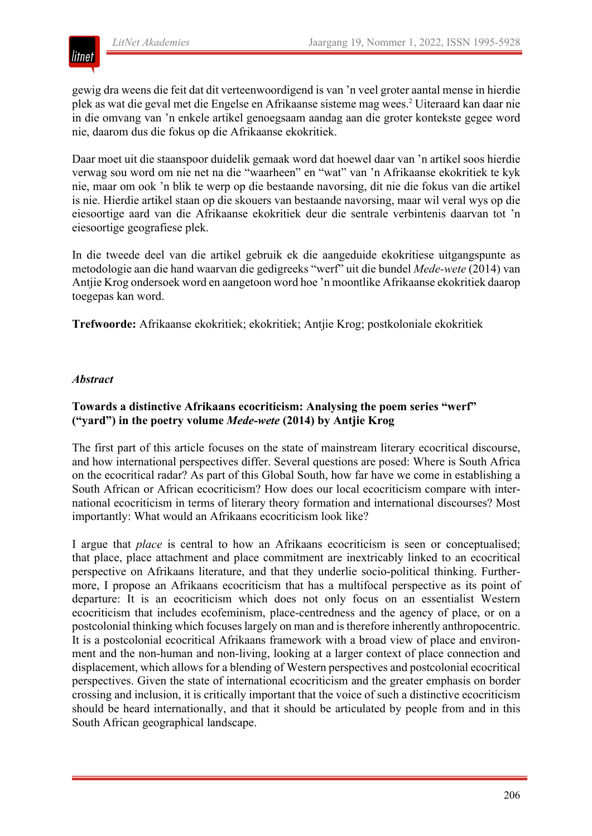

gewig dra weens die feit dat dit verteenwoordigend is van 'n veel groter aantal mense in hierdie plek as wat die geval met die Engelse en Afrikaanse sisteme mag wees.2 Uiteraard kan daar nie in die omvang van 'n enkele artikel genoegsaam aandag aan die groter kontekste gegee word nie, daarom dus die fokus op die Afrikaanse ekokritiek.

Daar moet uit die staanspoor duidelik gemaak word dat hoewel daar van 'n artikel soos hierdie verwag sou word om nie net na die "waarheen" en "wat" van 'n Afrikaanse ekokritiek te kyk nie, maar om ook 'n blik te werp op die bestaande navorsing, dit nie die fokus van die artikel is nie. Hierdie artikel staan op die skouers van bestaande navorsing, maar wil veral wys op die eiesoortige aard van die Afrikaanse ekokritiek deur die sentrale verbintenis daarvan tot 'n eiesoortige geografiese plek.

In die tweede deel van die artikel gebruik ek die aangeduide ekokritiese uitgangspunte as metodologie aan die hand waarvan die gedigreeks "werf" uit die bundel *Mede-wete* (2014) van Antjie Krog ondersoek word en aangetoon word hoe 'n moontlike Afrikaanse ekokritiek daarop toegepas kan word.

**Trefwoorde:** Afrikaanse ekokritiek; ekokritiek; Antjie Krog; postkoloniale ekokritiek

#### *Abstract*

#### **Towards a distinctive Afrikaans ecocriticism: Analysing the poem series "werf" ("yard") in the poetry volume** *Mede-wete* **(2014) by Antjie Krog**

The first part of this article focuses on the state of mainstream literary ecocritical discourse, and how international perspectives differ. Several questions are posed: Where is South Africa on the ecocritical radar? As part of this Global South, how far have we come in establishing a South African or African ecocriticism? How does our local ecocriticism compare with international ecocriticism in terms of literary theory formation and international discourses? Most importantly: What would an Afrikaans ecocriticism look like?

I argue that *place* is central to how an Afrikaans ecocriticism is seen or conceptualised; that place, place attachment and place commitment are inextricably linked to an ecocritical perspective on Afrikaans literature, and that they underlie socio-political thinking. Furthermore, I propose an Afrikaans ecocriticism that has a multifocal perspective as its point of departure: It is an ecocriticism which does not only focus on an essentialist Western ecocriticism that includes ecofeminism, place-centredness and the agency of place, or on a postcolonial thinking which focuses largely on man and is therefore inherently anthropocentric. It is a postcolonial ecocritical Afrikaans framework with a broad view of place and environment and the non-human and non-living, looking at a larger context of place connection and displacement, which allows for a blending of Western perspectives and postcolonial ecocritical perspectives. Given the state of international ecocriticism and the greater emphasis on border crossing and inclusion, it is critically important that the voice of such a distinctive ecocriticism should be heard internationally, and that it should be articulated by people from and in this South African geographical landscape.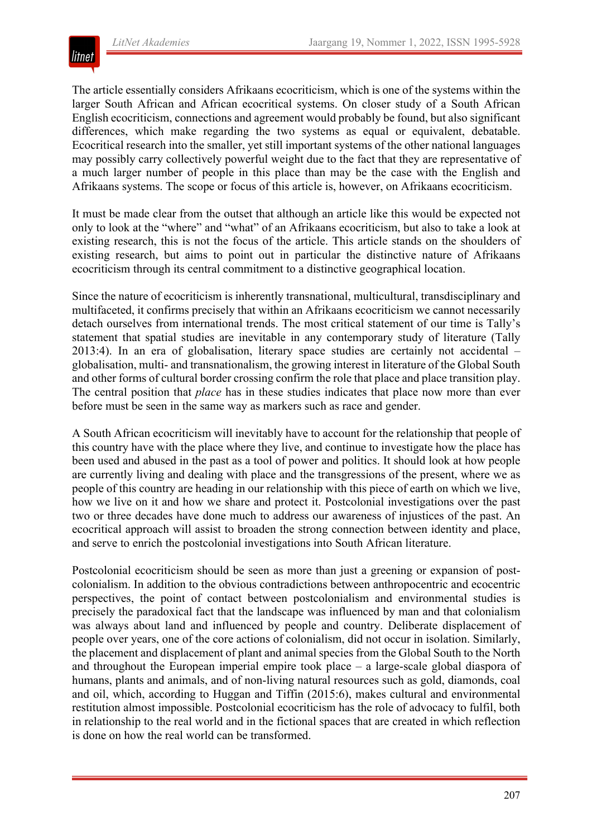

The article essentially considers Afrikaans ecocriticism, which is one of the systems within the larger South African and African ecocritical systems. On closer study of a South African English ecocriticism, connections and agreement would probably be found, but also significant differences, which make regarding the two systems as equal or equivalent, debatable. Ecocritical research into the smaller, yet still important systems of the other national languages may possibly carry collectively powerful weight due to the fact that they are representative of a much larger number of people in this place than may be the case with the English and Afrikaans systems. The scope or focus of this article is, however, on Afrikaans ecocriticism.

It must be made clear from the outset that although an article like this would be expected not only to look at the "where" and "what" of an Afrikaans ecocriticism, but also to take a look at existing research, this is not the focus of the article. This article stands on the shoulders of existing research, but aims to point out in particular the distinctive nature of Afrikaans ecocriticism through its central commitment to a distinctive geographical location.

Since the nature of ecocriticism is inherently transnational, multicultural, transdisciplinary and multifaceted, it confirms precisely that within an Afrikaans ecocriticism we cannot necessarily detach ourselves from international trends. The most critical statement of our time is Tally's statement that spatial studies are inevitable in any contemporary study of literature (Tally 2013:4). In an era of globalisation, literary space studies are certainly not accidental – globalisation, multi- and transnationalism, the growing interest in literature of the Global South and other forms of cultural border crossing confirm the role that place and place transition play. The central position that *place* has in these studies indicates that place now more than ever before must be seen in the same way as markers such as race and gender.

A South African ecocriticism will inevitably have to account for the relationship that people of this country have with the place where they live, and continue to investigate how the place has been used and abused in the past as a tool of power and politics. It should look at how people are currently living and dealing with place and the transgressions of the present, where we as people of this country are heading in our relationship with this piece of earth on which we live, how we live on it and how we share and protect it. Postcolonial investigations over the past two or three decades have done much to address our awareness of injustices of the past. An ecocritical approach will assist to broaden the strong connection between identity and place, and serve to enrich the postcolonial investigations into South African literature.

Postcolonial ecocriticism should be seen as more than just a greening or expansion of postcolonialism. In addition to the obvious contradictions between anthropocentric and ecocentric perspectives, the point of contact between postcolonialism and environmental studies is precisely the paradoxical fact that the landscape was influenced by man and that colonialism was always about land and influenced by people and country. Deliberate displacement of people over years, one of the core actions of colonialism, did not occur in isolation. Similarly, the placement and displacement of plant and animal species from the Global South to the North and throughout the European imperial empire took place – a large-scale global diaspora of humans, plants and animals, and of non-living natural resources such as gold, diamonds, coal and oil, which, according to Huggan and Tiffin (2015:6), makes cultural and environmental restitution almost impossible. Postcolonial ecocriticism has the role of advocacy to fulfil, both in relationship to the real world and in the fictional spaces that are created in which reflection is done on how the real world can be transformed.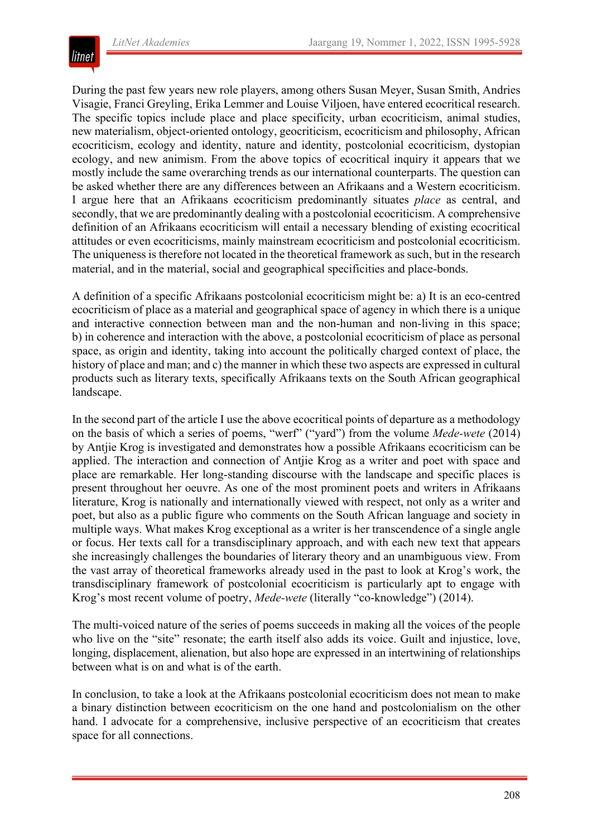

During the past few years new role players, among others Susan Meyer, Susan Smith, Andries Visagie, Franci Greyling, Erika Lemmer and Louise Viljoen, have entered ecocritical research. The specific topics include place and place specificity, urban ecocriticism, animal studies, new materialism, object-oriented ontology, geocriticism, ecocriticism and philosophy, African ecocriticism, ecology and identity, nature and identity, postcolonial ecocriticism, dystopian ecology, and new animism. From the above topics of ecocritical inquiry it appears that we mostly include the same overarching trends as our international counterparts. The question can be asked whether there are any differences between an Afrikaans and a Western ecocriticism. I argue here that an Afrikaans ecocriticism predominantly situates *place* as central, and secondly, that we are predominantly dealing with a postcolonial ecocriticism. A comprehensive definition of an Afrikaans ecocriticism will entail a necessary blending of existing ecocritical attitudes or even ecocriticisms, mainly mainstream ecocriticism and postcolonial ecocriticism. The uniqueness is therefore not located in the theoretical framework as such, but in the research material, and in the material, social and geographical specificities and place-bonds.

A definition of a specific Afrikaans postcolonial ecocriticism might be: a) It is an eco-centred ecocriticism of place as a material and geographical space of agency in which there is a unique and interactive connection between man and the non-human and non-living in this space; b) in coherence and interaction with the above, a postcolonial ecocriticism of place as personal space, as origin and identity, taking into account the politically charged context of place, the history of place and man; and c) the manner in which these two aspects are expressed in cultural products such as literary texts, specifically Afrikaans texts on the South African geographical landscape.

In the second part of the article I use the above ecocritical points of departure as a methodology on the basis of which a series of poems, "werf" ("yard") from the volume *Mede-wete* (2014) by Antjie Krog is investigated and demonstrates how a possible Afrikaans ecocriticism can be applied. The interaction and connection of Antjie Krog as a writer and poet with space and place are remarkable. Her long-standing discourse with the landscape and specific places is present throughout her oeuvre. As one of the most prominent poets and writers in Afrikaans literature, Krog is nationally and internationally viewed with respect, not only as a writer and poet, but also as a public figure who comments on the South African language and society in multiple ways. What makes Krog exceptional as a writer is her transcendence of a single angle or focus. Her texts call for a transdisciplinary approach, and with each new text that appears she increasingly challenges the boundaries of literary theory and an unambiguous view. From the vast array of theoretical frameworks already used in the past to look at Krog's work, the transdisciplinary framework of postcolonial ecocriticism is particularly apt to engage with Krog's most recent volume of poetry, *Mede-wete* (literally "co-knowledge") (2014).

The multi-voiced nature of the series of poems succeeds in making all the voices of the people who live on the "site" resonate; the earth itself also adds its voice. Guilt and injustice, love, longing, displacement, alienation, but also hope are expressed in an intertwining of relationships between what is on and what is of the earth.

In conclusion, to take a look at the Afrikaans postcolonial ecocriticism does not mean to make a binary distinction between ecocriticism on the one hand and postcolonialism on the other hand. I advocate for a comprehensive, inclusive perspective of an ecocriticism that creates space for all connections.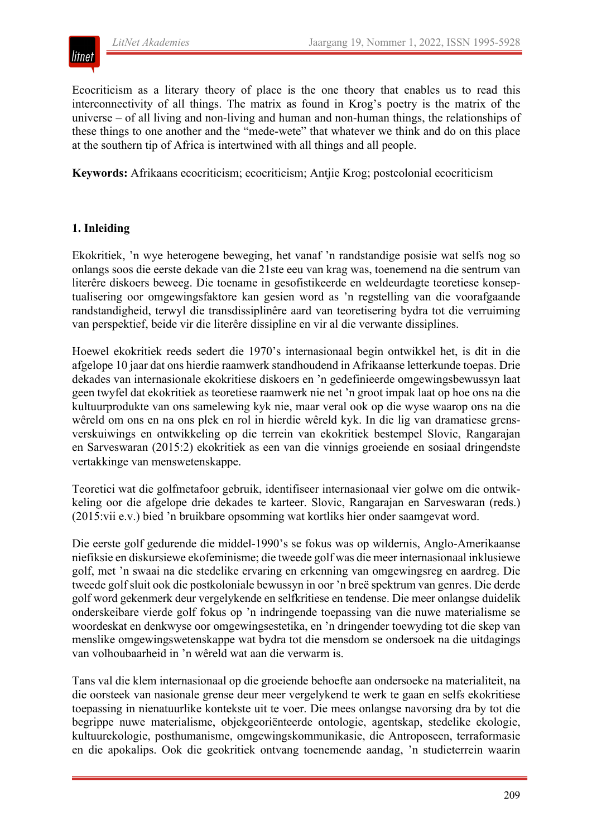

Ecocriticism as a literary theory of place is the one theory that enables us to read this interconnectivity of all things. The matrix as found in Krog's poetry is the matrix of the universe – of all living and non-living and human and non-human things, the relationships of these things to one another and the "mede-wete" that whatever we think and do on this place at the southern tip of Africa is intertwined with all things and all people.

**Keywords:** Afrikaans ecocriticism; ecocriticism; Antjie Krog; postcolonial ecocriticism

#### **1. Inleiding**

Ekokritiek, 'n wye heterogene beweging, het vanaf 'n randstandige posisie wat selfs nog so onlangs soos die eerste dekade van die 21ste eeu van krag was, toenemend na die sentrum van literêre diskoers beweeg. Die toename in gesofistikeerde en weldeurdagte teoretiese konseptualisering oor omgewingsfaktore kan gesien word as 'n regstelling van die voorafgaande randstandigheid, terwyl die transdissiplinêre aard van teoretisering bydra tot die verruiming van perspektief, beide vir die literêre dissipline en vir al die verwante dissiplines.

Hoewel ekokritiek reeds sedert die 1970's internasionaal begin ontwikkel het, is dit in die afgelope 10 jaar dat ons hierdie raamwerk standhoudend in Afrikaanse letterkunde toepas. Drie dekades van internasionale ekokritiese diskoers en 'n gedefinieerde omgewingsbewussyn laat geen twyfel dat ekokritiek as teoretiese raamwerk nie net 'n groot impak laat op hoe ons na die kultuurprodukte van ons samelewing kyk nie, maar veral ook op die wyse waarop ons na die wêreld om ons en na ons plek en rol in hierdie wêreld kyk. In die lig van dramatiese grensverskuiwings en ontwikkeling op die terrein van ekokritiek bestempel Slovic, Rangarajan en Sarveswaran (2015:2) ekokritiek as een van die vinnigs groeiende en sosiaal dringendste vertakkinge van menswetenskappe.

Teoretici wat die golfmetafoor gebruik, identifiseer internasionaal vier golwe om die ontwikkeling oor die afgelope drie dekades te karteer. Slovic, Rangarajan en Sarveswaran (reds.) (2015:vii e.v.) bied 'n bruikbare opsomming wat kortliks hier onder saamgevat word.

Die eerste golf gedurende die middel-1990's se fokus was op wildernis, Anglo-Amerikaanse niefiksie en diskursiewe ekofeminisme; die tweede golf was die meer internasionaal inklusiewe golf, met 'n swaai na die stedelike ervaring en erkenning van omgewingsreg en aardreg. Die tweede golf sluit ook die postkoloniale bewussyn in oor 'n breë spektrum van genres. Die derde golf word gekenmerk deur vergelykende en selfkritiese en tendense. Die meer onlangse duidelik onderskeibare vierde golf fokus op 'n indringende toepassing van die nuwe materialisme se woordeskat en denkwyse oor omgewingsestetika, en 'n dringender toewyding tot die skep van menslike omgewingswetenskappe wat bydra tot die mensdom se ondersoek na die uitdagings van volhoubaarheid in 'n wêreld wat aan die verwarm is.

Tans val die klem internasionaal op die groeiende behoefte aan ondersoeke na materialiteit, na die oorsteek van nasionale grense deur meer vergelykend te werk te gaan en selfs ekokritiese toepassing in nienatuurlike kontekste uit te voer. Die mees onlangse navorsing dra by tot die begrippe nuwe materialisme, objekgeoriënteerde ontologie, agentskap, stedelike ekologie, kultuurekologie, posthumanisme, omgewingskommunikasie, die Antroposeen, terraformasie en die apokalips. Ook die geokritiek ontvang toenemende aandag, 'n studieterrein waarin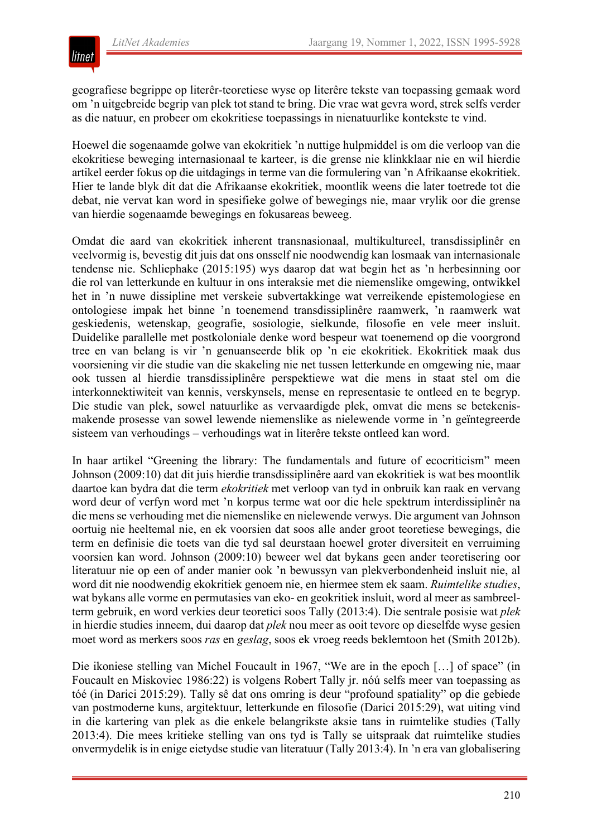

geografiese begrippe op literêr-teoretiese wyse op literêre tekste van toepassing gemaak word om 'n uitgebreide begrip van plek tot stand te bring. Die vrae wat gevra word, strek selfs verder as die natuur, en probeer om ekokritiese toepassings in nienatuurlike kontekste te vind.

Hoewel die sogenaamde golwe van ekokritiek 'n nuttige hulpmiddel is om die verloop van die ekokritiese beweging internasionaal te karteer, is die grense nie klinkklaar nie en wil hierdie artikel eerder fokus op die uitdagings in terme van die formulering van 'n Afrikaanse ekokritiek. Hier te lande blyk dit dat die Afrikaanse ekokritiek, moontlik weens die later toetrede tot die debat, nie vervat kan word in spesifieke golwe of bewegings nie, maar vrylik oor die grense van hierdie sogenaamde bewegings en fokusareas beweeg.

Omdat die aard van ekokritiek inherent transnasionaal, multikultureel, transdissiplinêr en veelvormig is, bevestig dit juis dat ons onsself nie noodwendig kan losmaak van internasionale tendense nie. Schliephake (2015:195) wys daarop dat wat begin het as 'n herbesinning oor die rol van letterkunde en kultuur in ons interaksie met die niemenslike omgewing, ontwikkel het in 'n nuwe dissipline met verskeie subvertakkinge wat verreikende epistemologiese en ontologiese impak het binne 'n toenemend transdissiplinêre raamwerk, 'n raamwerk wat geskiedenis, wetenskap, geografie, sosiologie, sielkunde, filosofie en vele meer insluit. Duidelike parallelle met postkoloniale denke word bespeur wat toenemend op die voorgrond tree en van belang is vir 'n genuanseerde blik op 'n eie ekokritiek. Ekokritiek maak dus voorsiening vir die studie van die skakeling nie net tussen letterkunde en omgewing nie, maar ook tussen al hierdie transdissiplinêre perspektiewe wat die mens in staat stel om die interkonnektiwiteit van kennis, verskynsels, mense en representasie te ontleed en te begryp. Die studie van plek, sowel natuurlike as vervaardigde plek, omvat die mens se betekenismakende prosesse van sowel lewende niemenslike as nielewende vorme in 'n geïntegreerde sisteem van verhoudings – verhoudings wat in literêre tekste ontleed kan word.

In haar artikel "Greening the library: The fundamentals and future of ecocriticism" meen Johnson (2009:10) dat dit juis hierdie transdissiplinêre aard van ekokritiek is wat bes moontlik daartoe kan bydra dat die term *ekokritiek* met verloop van tyd in onbruik kan raak en vervang word deur of verfyn word met 'n korpus terme wat oor die hele spektrum interdissiplinêr na die mens se verhouding met die niemenslike en nielewende verwys. Die argument van Johnson oortuig nie heeltemal nie, en ek voorsien dat soos alle ander groot teoretiese bewegings, die term en definisie die toets van die tyd sal deurstaan hoewel groter diversiteit en verruiming voorsien kan word. Johnson (2009:10) beweer wel dat bykans geen ander teoretisering oor literatuur nie op een of ander manier ook 'n bewussyn van plekverbondenheid insluit nie, al word dit nie noodwendig ekokritiek genoem nie, en hiermee stem ek saam. *Ruimtelike studies*, wat bykans alle vorme en permutasies van eko- en geokritiek insluit, word al meer as sambreelterm gebruik, en word verkies deur teoretici soos Tally (2013:4). Die sentrale posisie wat *plek* in hierdie studies inneem, dui daarop dat *plek* nou meer as ooit tevore op dieselfde wyse gesien moet word as merkers soos *ras* en *geslag*, soos ek vroeg reeds beklemtoon het (Smith 2012b).

Die ikoniese stelling van Michel Foucault in 1967, "We are in the epoch [...] of space" (in Foucault en Miskoviec 1986:22) is volgens Robert Tally jr. nóú selfs meer van toepassing as tóé (in Darici 2015:29). Tally sê dat ons omring is deur "profound spatiality" op die gebiede van postmoderne kuns, argitektuur, letterkunde en filosofie (Darici 2015:29), wat uiting vind in die kartering van plek as die enkele belangrikste aksie tans in ruimtelike studies (Tally 2013:4). Die mees kritieke stelling van ons tyd is Tally se uitspraak dat ruimtelike studies onvermydelik is in enige eietydse studie van literatuur (Tally 2013:4). In 'n era van globalisering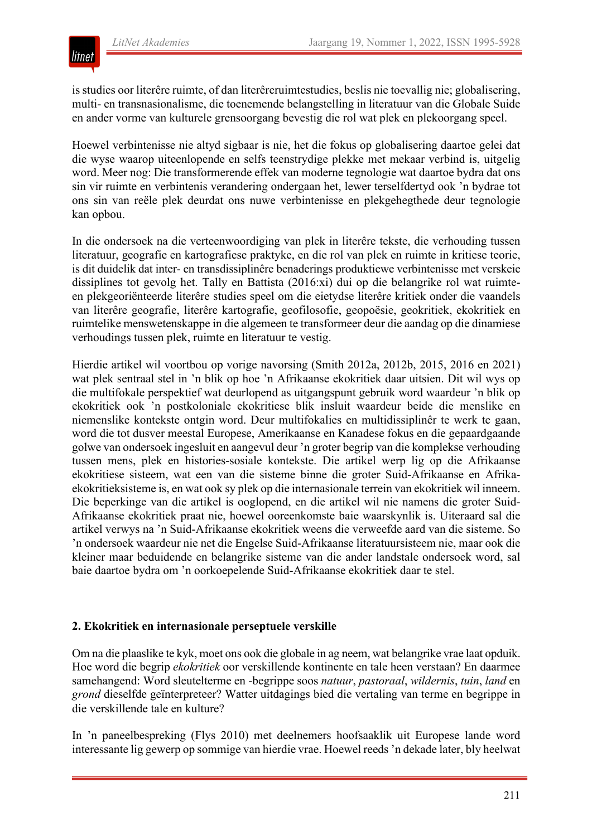

is studies oor literêre ruimte, of dan literêreruimtestudies, beslis nie toevallig nie; globalisering, multi- en transnasionalisme, die toenemende belangstelling in literatuur van die Globale Suide en ander vorme van kulturele grensoorgang bevestig die rol wat plek en plekoorgang speel.

Hoewel verbintenisse nie altyd sigbaar is nie, het die fokus op globalisering daartoe gelei dat die wyse waarop uiteenlopende en selfs teenstrydige plekke met mekaar verbind is, uitgelig word. Meer nog: Die transformerende effek van moderne tegnologie wat daartoe bydra dat ons sin vir ruimte en verbintenis verandering ondergaan het, lewer terselfdertyd ook 'n bydrae tot ons sin van reële plek deurdat ons nuwe verbintenisse en plekgehegthede deur tegnologie kan opbou.

In die ondersoek na die verteenwoordiging van plek in literêre tekste, die verhouding tussen literatuur, geografie en kartografiese praktyke, en die rol van plek en ruimte in kritiese teorie, is dit duidelik dat inter- en transdissiplinêre benaderings produktiewe verbintenisse met verskeie dissiplines tot gevolg het. Tally en Battista (2016:xi) dui op die belangrike rol wat ruimteen plekgeoriënteerde literêre studies speel om die eietydse literêre kritiek onder die vaandels van literêre geografie, literêre kartografie, geofilosofie, geopoësie, geokritiek, ekokritiek en ruimtelike menswetenskappe in die algemeen te transformeer deur die aandag op die dinamiese verhoudings tussen plek, ruimte en literatuur te vestig.

Hierdie artikel wil voortbou op vorige navorsing (Smith 2012a, 2012b, 2015, 2016 en 2021) wat plek sentraal stel in 'n blik op hoe 'n Afrikaanse ekokritiek daar uitsien. Dit wil wys op die multifokale perspektief wat deurlopend as uitgangspunt gebruik word waardeur 'n blik op ekokritiek ook 'n postkoloniale ekokritiese blik insluit waardeur beide die menslike en niemenslike kontekste ontgin word. Deur multifokalies en multidissiplinêr te werk te gaan, word die tot dusver meestal Europese, Amerikaanse en Kanadese fokus en die gepaardgaande golwe van ondersoek ingesluit en aangevul deur 'n groter begrip van die komplekse verhouding tussen mens, plek en histories-sosiale kontekste. Die artikel werp lig op die Afrikaanse ekokritiese sisteem, wat een van die sisteme binne die groter Suid-Afrikaanse en Afrikaekokritieksisteme is, en wat ook sy plek op die internasionale terrein van ekokritiek wil inneem. Die beperkinge van die artikel is ooglopend, en die artikel wil nie namens die groter Suid-Afrikaanse ekokritiek praat nie, hoewel ooreenkomste baie waarskynlik is. Uiteraard sal die artikel verwys na 'n Suid-Afrikaanse ekokritiek weens die verweefde aard van die sisteme. So 'n ondersoek waardeur nie net die Engelse Suid-Afrikaanse literatuursisteem nie, maar ook die kleiner maar beduidende en belangrike sisteme van die ander landstale ondersoek word, sal baie daartoe bydra om 'n oorkoepelende Suid-Afrikaanse ekokritiek daar te stel.

#### **2. Ekokritiek en internasionale perseptuele verskille**

Om na die plaaslike te kyk, moet ons ook die globale in ag neem, wat belangrike vrae laat opduik. Hoe word die begrip *ekokritiek* oor verskillende kontinente en tale heen verstaan? En daarmee samehangend: Word sleutelterme en -begrippe soos *natuur*, *pastoraal*, *wildernis*, *tuin*, *land* en *grond* dieselfde geïnterpreteer? Watter uitdagings bied die vertaling van terme en begrippe in die verskillende tale en kulture?

In 'n paneelbespreking (Flys 2010) met deelnemers hoofsaaklik uit Europese lande word interessante lig gewerp op sommige van hierdie vrae. Hoewel reeds 'n dekade later, bly heelwat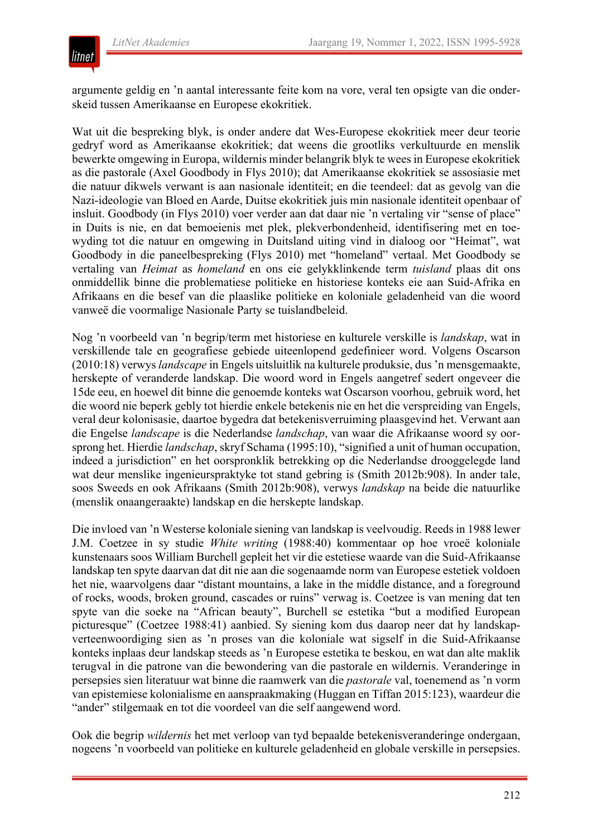

argumente geldig en 'n aantal interessante feite kom na vore, veral ten opsigte van die onderskeid tussen Amerikaanse en Europese ekokritiek.

Wat uit die bespreking blyk, is onder andere dat Wes-Europese ekokritiek meer deur teorie gedryf word as Amerikaanse ekokritiek; dat weens die grootliks verkultuurde en menslik bewerkte omgewing in Europa, wildernis minder belangrik blyk te wees in Europese ekokritiek as die pastorale (Axel Goodbody in Flys 2010); dat Amerikaanse ekokritiek se assosiasie met die natuur dikwels verwant is aan nasionale identiteit; en die teendeel: dat as gevolg van die Nazi-ideologie van Bloed en Aarde, Duitse ekokritiek juis min nasionale identiteit openbaar of insluit. Goodbody (in Flys 2010) voer verder aan dat daar nie 'n vertaling vir "sense of place" in Duits is nie, en dat bemoeienis met plek, plekverbondenheid, identifisering met en toewyding tot die natuur en omgewing in Duitsland uiting vind in dialoog oor "Heimat", wat Goodbody in die paneelbespreking (Flys 2010) met "homeland" vertaal. Met Goodbody se vertaling van *Heimat* as *homeland* en ons eie gelykklinkende term *tuisland* plaas dit ons onmiddellik binne die problematiese politieke en historiese konteks eie aan Suid-Afrika en Afrikaans en die besef van die plaaslike politieke en koloniale geladenheid van die woord vanweë die voormalige Nasionale Party se tuislandbeleid.

Nog 'n voorbeeld van 'n begrip/term met historiese en kulturele verskille is *landskap*, wat in verskillende tale en geografiese gebiede uiteenlopend gedefinieer word. Volgens Oscarson (2010:18) verwys *landscape* in Engels uitsluitlik na kulturele produksie, dus 'n mensgemaakte, herskepte of veranderde landskap. Die woord word in Engels aangetref sedert ongeveer die 15de eeu, en hoewel dit binne die genoemde konteks wat Oscarson voorhou, gebruik word, het die woord nie beperk gebly tot hierdie enkele betekenis nie en het die verspreiding van Engels, veral deur kolonisasie, daartoe bygedra dat betekenisverruiming plaasgevind het. Verwant aan die Engelse *landscape* is die Nederlandse *landschap*, van waar die Afrikaanse woord sy oorsprong het. Hierdie *landschap*, skryf Schama (1995:10), "signified a unit of human occupation, indeed a jurisdiction" en het oorspronklik betrekking op die Nederlandse drooggelegde land wat deur menslike ingenieurspraktyke tot stand gebring is (Smith 2012b:908). In ander tale, soos Sweeds en ook Afrikaans (Smith 2012b:908), verwys *landskap* na beide die natuurlike (menslik onaangeraakte) landskap en die herskepte landskap.

Die invloed van 'n Westerse koloniale siening van landskap is veelvoudig. Reeds in 1988 lewer J.M. Coetzee in sy studie *White writing* (1988:40) kommentaar op hoe vroeë koloniale kunstenaars soos William Burchell gepleit het vir die estetiese waarde van die Suid-Afrikaanse landskap ten spyte daarvan dat dit nie aan die sogenaamde norm van Europese estetiek voldoen het nie, waarvolgens daar "distant mountains, a lake in the middle distance, and a foreground of rocks, woods, broken ground, cascades or ruins" verwag is. Coetzee is van mening dat ten spyte van die soeke na "African beauty", Burchell se estetika "but a modified European picturesque" (Coetzee 1988:41) aanbied. Sy siening kom dus daarop neer dat hy landskapverteenwoordiging sien as 'n proses van die koloniale wat sigself in die Suid-Afrikaanse konteks inplaas deur landskap steeds as 'n Europese estetika te beskou, en wat dan alte maklik terugval in die patrone van die bewondering van die pastorale en wildernis. Veranderinge in persepsies sien literatuur wat binne die raamwerk van die *pastorale* val, toenemend as 'n vorm van epistemiese kolonialisme en aanspraakmaking (Huggan en Tiffan 2015:123), waardeur die "ander" stilgemaak en tot die voordeel van die self aangewend word.

Ook die begrip *wildernis* het met verloop van tyd bepaalde betekenisveranderinge ondergaan, nogeens 'n voorbeeld van politieke en kulturele geladenheid en globale verskille in persepsies.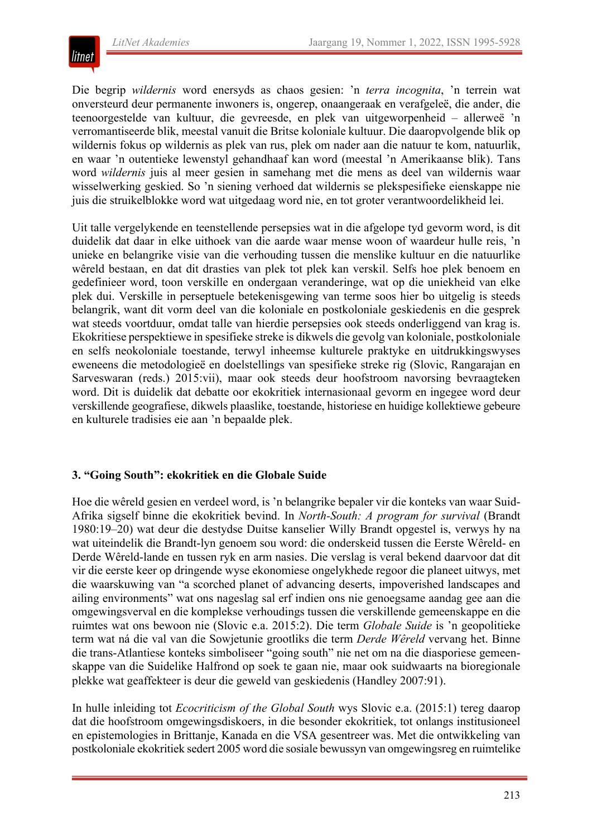

Die begrip *wildernis* word enersyds as chaos gesien: 'n *terra incognita*, 'n terrein wat onversteurd deur permanente inwoners is, ongerep, onaangeraak en verafgeleë, die ander, die teenoorgestelde van kultuur, die gevreesde, en plek van uitgeworpenheid – allerweë 'n verromantiseerde blik, meestal vanuit die Britse koloniale kultuur. Die daaropvolgende blik op wildernis fokus op wildernis as plek van rus, plek om nader aan die natuur te kom, natuurlik, en waar 'n outentieke lewenstyl gehandhaaf kan word (meestal 'n Amerikaanse blik). Tans word *wildernis* juis al meer gesien in samehang met die mens as deel van wildernis waar wisselwerking geskied. So 'n siening verhoed dat wildernis se plekspesifieke eienskappe nie juis die struikelblokke word wat uitgedaag word nie, en tot groter verantwoordelikheid lei.

Uit talle vergelykende en teenstellende persepsies wat in die afgelope tyd gevorm word, is dit duidelik dat daar in elke uithoek van die aarde waar mense woon of waardeur hulle reis, 'n unieke en belangrike visie van die verhouding tussen die menslike kultuur en die natuurlike wêreld bestaan, en dat dit drasties van plek tot plek kan verskil. Selfs hoe plek benoem en gedefinieer word, toon verskille en ondergaan veranderinge, wat op die uniekheid van elke plek dui. Verskille in perseptuele betekenisgewing van terme soos hier bo uitgelig is steeds belangrik, want dit vorm deel van die koloniale en postkoloniale geskiedenis en die gesprek wat steeds voortduur, omdat talle van hierdie persepsies ook steeds onderliggend van krag is. Ekokritiese perspektiewe in spesifieke streke is dikwels die gevolg van koloniale, postkoloniale en selfs neokoloniale toestande, terwyl inheemse kulturele praktyke en uitdrukkingswyses eweneens die metodologieë en doelstellings van spesifieke streke rig (Slovic, Rangarajan en Sarveswaran (reds.) 2015:vii), maar ook steeds deur hoofstroom navorsing bevraagteken word. Dit is duidelik dat debatte oor ekokritiek internasionaal gevorm en ingegee word deur verskillende geografiese, dikwels plaaslike, toestande, historiese en huidige kollektiewe gebeure en kulturele tradisies eie aan 'n bepaalde plek.

#### **3. "Going South": ekokritiek en die Globale Suide**

Hoe die wêreld gesien en verdeel word, is 'n belangrike bepaler vir die konteks van waar Suid-Afrika sigself binne die ekokritiek bevind. In *North-South: A program for survival* (Brandt 1980:19–20) wat deur die destydse Duitse kanselier Willy Brandt opgestel is, verwys hy na wat uiteindelik die Brandt-lyn genoem sou word: die onderskeid tussen die Eerste Wêreld- en Derde Wêreld-lande en tussen ryk en arm nasies. Die verslag is veral bekend daarvoor dat dit vir die eerste keer op dringende wyse ekonomiese ongelykhede regoor die planeet uitwys, met die waarskuwing van "a scorched planet of advancing deserts, impoverished landscapes and ailing environments" wat ons nageslag sal erf indien ons nie genoegsame aandag gee aan die omgewingsverval en die komplekse verhoudings tussen die verskillende gemeenskappe en die ruimtes wat ons bewoon nie (Slovic e.a. 2015:2). Die term *Globale Suide* is 'n geopolitieke term wat ná die val van die Sowjetunie grootliks die term *Derde Wêreld* vervang het. Binne die trans-Atlantiese konteks simboliseer "going south" nie net om na die diasporiese gemeenskappe van die Suidelike Halfrond op soek te gaan nie, maar ook suidwaarts na bioregionale plekke wat geaffekteer is deur die geweld van geskiedenis (Handley 2007:91).

In hulle inleiding tot *Ecocriticism of the Global South* wys Slovic e.a. (2015:1) tereg daarop dat die hoofstroom omgewingsdiskoers, in die besonder ekokritiek, tot onlangs institusioneel en epistemologies in Brittanje, Kanada en die VSA gesentreer was. Met die ontwikkeling van postkoloniale ekokritiek sedert 2005 word die sosiale bewussyn van omgewingsreg en ruimtelike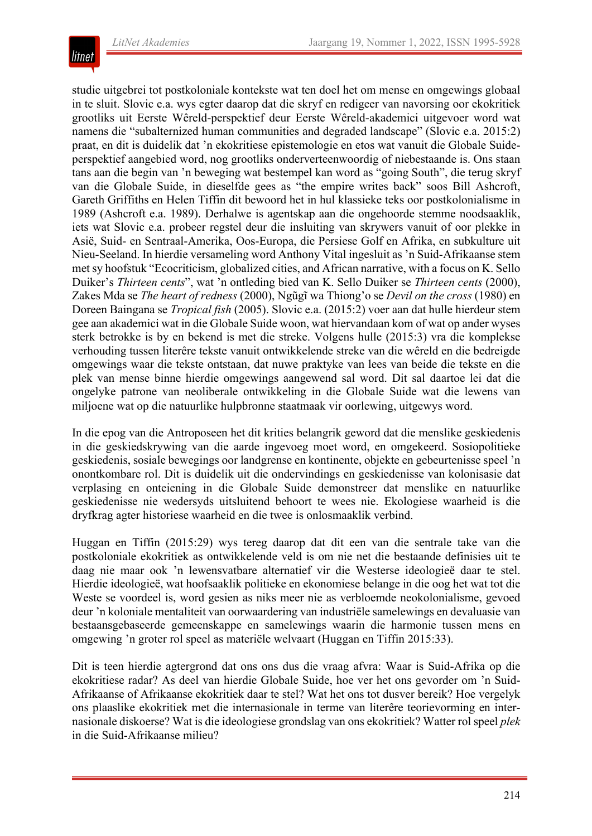

studie uitgebrei tot postkoloniale kontekste wat ten doel het om mense en omgewings globaal in te sluit. Slovic e.a. wys egter daarop dat die skryf en redigeer van navorsing oor ekokritiek grootliks uit Eerste Wêreld-perspektief deur Eerste Wêreld-akademici uitgevoer word wat namens die "subalternized human communities and degraded landscape" (Slovic e.a. 2015:2) praat, en dit is duidelik dat 'n ekokritiese epistemologie en etos wat vanuit die Globale Suideperspektief aangebied word, nog grootliks onderverteenwoordig of niebestaande is. Ons staan tans aan die begin van 'n beweging wat bestempel kan word as "going South", die terug skryf van die Globale Suide, in dieselfde gees as "the empire writes back" soos Bill Ashcroft, Gareth Griffiths en Helen Tiffin dit bewoord het in hul klassieke teks oor postkolonialisme in 1989 (Ashcroft e.a. 1989). Derhalwe is agentskap aan die ongehoorde stemme noodsaaklik, iets wat Slovic e.a. probeer regstel deur die insluiting van skrywers vanuit of oor plekke in Asië, Suid- en Sentraal-Amerika, Oos-Europa, die Persiese Golf en Afrika, en subkulture uit Nieu-Seeland. In hierdie versameling word Anthony Vital ingesluit as 'n Suid-Afrikaanse stem met sy hoofstuk "Ecocriticism, globalized cities, and African narrative, with a focus on K. Sello Duiker's *Thirteen cents*", wat 'n ontleding bied van K. Sello Duiker se *Thirteen cents* (2000), Zakes Mda se *The heart of redness* (2000), Ngũgĩ wa Thiong'o se *Devil on the cross* (1980) en Doreen Baingana se *Tropical fish* (2005). Slovic e.a. (2015:2) voer aan dat hulle hierdeur stem gee aan akademici wat in die Globale Suide woon, wat hiervandaan kom of wat op ander wyses sterk betrokke is by en bekend is met die streke. Volgens hulle (2015:3) vra die komplekse verhouding tussen literêre tekste vanuit ontwikkelende streke van die wêreld en die bedreigde omgewings waar die tekste ontstaan, dat nuwe praktyke van lees van beide die tekste en die plek van mense binne hierdie omgewings aangewend sal word. Dit sal daartoe lei dat die ongelyke patrone van neoliberale ontwikkeling in die Globale Suide wat die lewens van miljoene wat op die natuurlike hulpbronne staatmaak vir oorlewing, uitgewys word.

In die epog van die Antroposeen het dit krities belangrik geword dat die menslike geskiedenis in die geskiedskrywing van die aarde ingevoeg moet word, en omgekeerd. Sosiopolitieke geskiedenis, sosiale bewegings oor landgrense en kontinente, objekte en gebeurtenisse speel 'n onontkombare rol. Dit is duidelik uit die ondervindings en geskiedenisse van kolonisasie dat verplasing en onteiening in die Globale Suide demonstreer dat menslike en natuurlike geskiedenisse nie wedersyds uitsluitend behoort te wees nie. Ekologiese waarheid is die dryfkrag agter historiese waarheid en die twee is onlosmaaklik verbind.

Huggan en Tiffin (2015:29) wys tereg daarop dat dit een van die sentrale take van die postkoloniale ekokritiek as ontwikkelende veld is om nie net die bestaande definisies uit te daag nie maar ook 'n lewensvatbare alternatief vir die Westerse ideologieë daar te stel. Hierdie ideologieë, wat hoofsaaklik politieke en ekonomiese belange in die oog het wat tot die Weste se voordeel is, word gesien as niks meer nie as verbloemde neokolonialisme, gevoed deur 'n koloniale mentaliteit van oorwaardering van industriële samelewings en devaluasie van bestaansgebaseerde gemeenskappe en samelewings waarin die harmonie tussen mens en omgewing 'n groter rol speel as materiële welvaart (Huggan en Tiffin 2015:33).

Dit is teen hierdie agtergrond dat ons ons dus die vraag afvra: Waar is Suid-Afrika op die ekokritiese radar? As deel van hierdie Globale Suide, hoe ver het ons gevorder om 'n Suid-Afrikaanse of Afrikaanse ekokritiek daar te stel? Wat het ons tot dusver bereik? Hoe vergelyk ons plaaslike ekokritiek met die internasionale in terme van literêre teorievorming en internasionale diskoerse? Wat is die ideologiese grondslag van ons ekokritiek? Watter rol speel *plek* in die Suid-Afrikaanse milieu?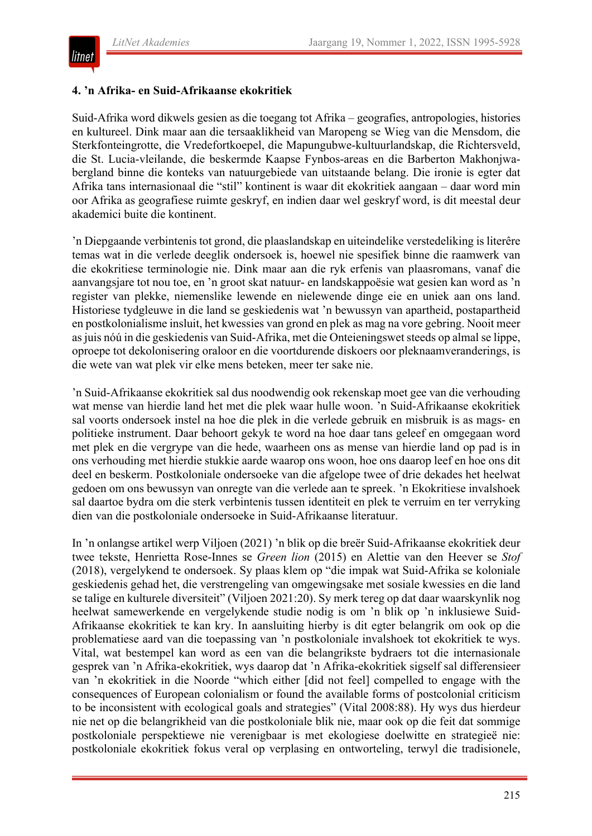

#### **4. 'n Afrika- en Suid-Afrikaanse ekokritiek**

Suid-Afrika word dikwels gesien as die toegang tot Afrika – geografies, antropologies, histories en kultureel. Dink maar aan die tersaaklikheid van Maropeng se Wieg van die Mensdom, die Sterkfonteingrotte, die Vredefortkoepel, die Mapungubwe-kultuurlandskap, die Richtersveld, die St. Lucia-vleilande, die beskermde Kaapse Fynbos-areas en die Barberton Makhonjwabergland binne die konteks van natuurgebiede van uitstaande belang. Die ironie is egter dat Afrika tans internasionaal die "stil" kontinent is waar dit ekokritiek aangaan – daar word min oor Afrika as geografiese ruimte geskryf, en indien daar wel geskryf word, is dit meestal deur akademici buite die kontinent.

'n Diepgaande verbintenis tot grond, die plaaslandskap en uiteindelike verstedeliking is literêre temas wat in die verlede deeglik ondersoek is, hoewel nie spesifiek binne die raamwerk van die ekokritiese terminologie nie. Dink maar aan die ryk erfenis van plaasromans, vanaf die aanvangsjare tot nou toe, en 'n groot skat natuur- en landskappoësie wat gesien kan word as 'n register van plekke, niemenslike lewende en nielewende dinge eie en uniek aan ons land. Historiese tydgleuwe in die land se geskiedenis wat 'n bewussyn van apartheid, postapartheid en postkolonialisme insluit, het kwessies van grond en plek as mag na vore gebring. Nooit meer as juis nóú in die geskiedenis van Suid-Afrika, met die Onteieningswet steeds op almal se lippe, oproepe tot dekolonisering oraloor en die voortdurende diskoers oor pleknaamveranderings, is die wete van wat plek vir elke mens beteken, meer ter sake nie.

'n Suid-Afrikaanse ekokritiek sal dus noodwendig ook rekenskap moet gee van die verhouding wat mense van hierdie land het met die plek waar hulle woon. 'n Suid-Afrikaanse ekokritiek sal voorts ondersoek instel na hoe die plek in die verlede gebruik en misbruik is as mags- en politieke instrument. Daar behoort gekyk te word na hoe daar tans geleef en omgegaan word met plek en die vergrype van die hede, waarheen ons as mense van hierdie land op pad is in ons verhouding met hierdie stukkie aarde waarop ons woon, hoe ons daarop leef en hoe ons dit deel en beskerm. Postkoloniale ondersoeke van die afgelope twee of drie dekades het heelwat gedoen om ons bewussyn van onregte van die verlede aan te spreek. 'n Ekokritiese invalshoek sal daartoe bydra om die sterk verbintenis tussen identiteit en plek te verruim en ter verryking dien van die postkoloniale ondersoeke in Suid-Afrikaanse literatuur.

In 'n onlangse artikel werp Viljoen (2021) 'n blik op die breër Suid-Afrikaanse ekokritiek deur twee tekste, Henrietta Rose-Innes se *Green lion* (2015) en Alettie van den Heever se *Stof* (2018), vergelykend te ondersoek. Sy plaas klem op "die impak wat Suid-Afrika se koloniale geskiedenis gehad het, die verstrengeling van omgewingsake met sosiale kwessies en die land se talige en kulturele diversiteit" (Viljoen 2021:20). Sy merk tereg op dat daar waarskynlik nog heelwat samewerkende en vergelykende studie nodig is om 'n blik op 'n inklusiewe Suid-Afrikaanse ekokritiek te kan kry. In aansluiting hierby is dit egter belangrik om ook op die problematiese aard van die toepassing van 'n postkoloniale invalshoek tot ekokritiek te wys. Vital, wat bestempel kan word as een van die belangrikste bydraers tot die internasionale gesprek van 'n Afrika-ekokritiek, wys daarop dat 'n Afrika-ekokritiek sigself sal differensieer van 'n ekokritiek in die Noorde "which either [did not feel] compelled to engage with the consequences of European colonialism or found the available forms of postcolonial criticism to be inconsistent with ecological goals and strategies" (Vital 2008:88). Hy wys dus hierdeur nie net op die belangrikheid van die postkoloniale blik nie, maar ook op die feit dat sommige postkoloniale perspektiewe nie verenigbaar is met ekologiese doelwitte en strategieë nie: postkoloniale ekokritiek fokus veral op verplasing en ontworteling, terwyl die tradisionele,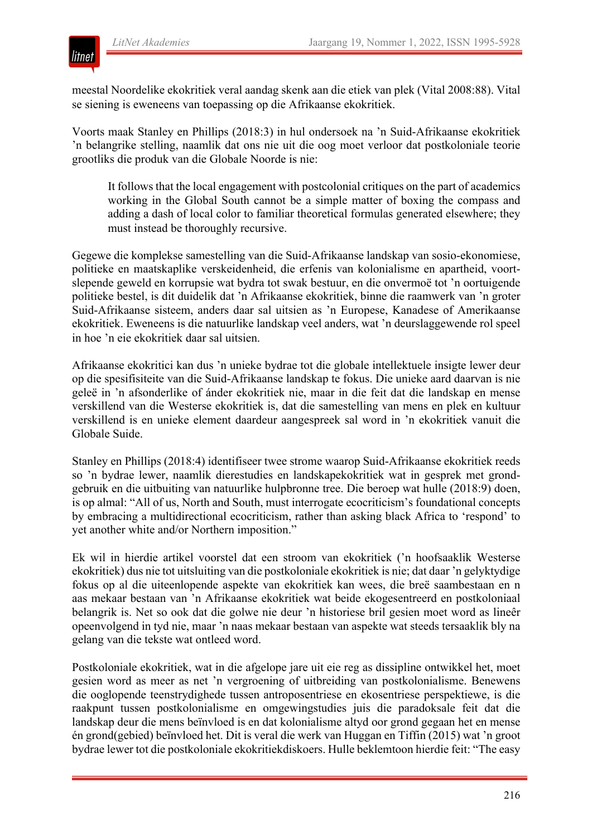

meestal Noordelike ekokritiek veral aandag skenk aan die etiek van plek (Vital 2008:88). Vital se siening is eweneens van toepassing op die Afrikaanse ekokritiek.

Voorts maak Stanley en Phillips (2018:3) in hul ondersoek na 'n Suid-Afrikaanse ekokritiek 'n belangrike stelling, naamlik dat ons nie uit die oog moet verloor dat postkoloniale teorie grootliks die produk van die Globale Noorde is nie:

It follows that the local engagement with postcolonial critiques on the part of academics working in the Global South cannot be a simple matter of boxing the compass and adding a dash of local color to familiar theoretical formulas generated elsewhere; they must instead be thoroughly recursive.

Gegewe die komplekse samestelling van die Suid-Afrikaanse landskap van sosio-ekonomiese, politieke en maatskaplike verskeidenheid, die erfenis van kolonialisme en apartheid, voortslepende geweld en korrupsie wat bydra tot swak bestuur, en die onvermoë tot 'n oortuigende politieke bestel, is dit duidelik dat 'n Afrikaanse ekokritiek, binne die raamwerk van 'n groter Suid-Afrikaanse sisteem, anders daar sal uitsien as 'n Europese, Kanadese of Amerikaanse ekokritiek. Eweneens is die natuurlike landskap veel anders, wat 'n deurslaggewende rol speel in hoe 'n eie ekokritiek daar sal uitsien.

Afrikaanse ekokritici kan dus 'n unieke bydrae tot die globale intellektuele insigte lewer deur op die spesifisiteite van die Suid-Afrikaanse landskap te fokus. Die unieke aard daarvan is nie geleë in 'n afsonderlike of ánder ekokritiek nie, maar in die feit dat die landskap en mense verskillend van die Westerse ekokritiek is, dat die samestelling van mens en plek en kultuur verskillend is en unieke element daardeur aangespreek sal word in 'n ekokritiek vanuit die Globale Suide.

Stanley en Phillips (2018:4) identifiseer twee strome waarop Suid-Afrikaanse ekokritiek reeds so 'n bydrae lewer, naamlik dierestudies en landskapekokritiek wat in gesprek met grondgebruik en die uitbuiting van natuurlike hulpbronne tree. Die beroep wat hulle (2018:9) doen, is op almal: "All of us, North and South, must interrogate ecocriticism's foundational concepts by embracing a multidirectional ecocriticism, rather than asking black Africa to 'respond' to yet another white and/or Northern imposition."

Ek wil in hierdie artikel voorstel dat een stroom van ekokritiek ('n hoofsaaklik Westerse ekokritiek) dus nie tot uitsluiting van die postkoloniale ekokritiek is nie; dat daar 'n gelyktydige fokus op al die uiteenlopende aspekte van ekokritiek kan wees, die breë saambestaan en n aas mekaar bestaan van 'n Afrikaanse ekokritiek wat beide ekogesentreerd en postkoloniaal belangrik is. Net so ook dat die golwe nie deur 'n historiese bril gesien moet word as lineêr opeenvolgend in tyd nie, maar 'n naas mekaar bestaan van aspekte wat steeds tersaaklik bly na gelang van die tekste wat ontleed word.

Postkoloniale ekokritiek, wat in die afgelope jare uit eie reg as dissipline ontwikkel het, moet gesien word as meer as net 'n vergroening of uitbreiding van postkolonialisme. Benewens die ooglopende teenstrydighede tussen antroposentriese en ekosentriese perspektiewe, is die raakpunt tussen postkolonialisme en omgewingstudies juis die paradoksale feit dat die landskap deur die mens beïnvloed is en dat kolonialisme altyd oor grond gegaan het en mense én grond(gebied) beïnvloed het. Dit is veral die werk van Huggan en Tiffin (2015) wat 'n groot bydrae lewer tot die postkoloniale ekokritiekdiskoers. Hulle beklemtoon hierdie feit: "The easy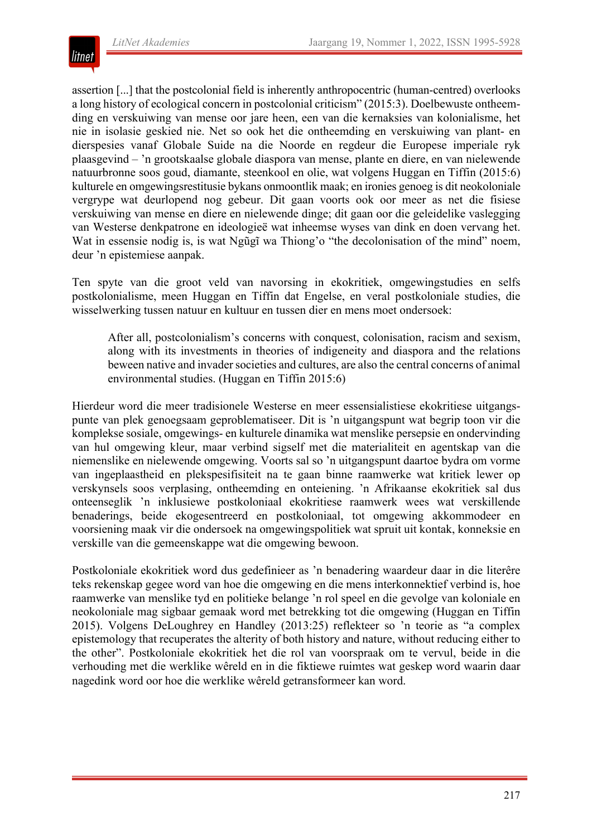

assertion [...] that the postcolonial field is inherently anthropocentric (human-centred) overlooks a long history of ecological concern in postcolonial criticism" (2015:3). Doelbewuste ontheemding en verskuiwing van mense oor jare heen, een van die kernaksies van kolonialisme, het nie in isolasie geskied nie. Net so ook het die ontheemding en verskuiwing van plant- en dierspesies vanaf Globale Suide na die Noorde en regdeur die Europese imperiale ryk plaasgevind – 'n grootskaalse globale diaspora van mense, plante en diere, en van nielewende natuurbronne soos goud, diamante, steenkool en olie, wat volgens Huggan en Tiffin (2015:6) kulturele en omgewingsrestitusie bykans onmoontlik maak; en ironies genoeg is dit neokoloniale vergrype wat deurlopend nog gebeur. Dit gaan voorts ook oor meer as net die fisiese verskuiwing van mense en diere en nielewende dinge; dit gaan oor die geleidelike vaslegging van Westerse denkpatrone en ideologieë wat inheemse wyses van dink en doen vervang het. Wat in essensie nodig is, is wat Ngũgĩ wa Thiong'o "the decolonisation of the mind" noem, deur 'n epistemiese aanpak.

Ten spyte van die groot veld van navorsing in ekokritiek, omgewingstudies en selfs postkolonialisme, meen Huggan en Tiffin dat Engelse, en veral postkoloniale studies, die wisselwerking tussen natuur en kultuur en tussen dier en mens moet ondersoek:

After all, postcolonialism's concerns with conquest, colonisation, racism and sexism, along with its investments in theories of indigeneity and diaspora and the relations beween native and invader societies and cultures, are also the central concerns of animal environmental studies. (Huggan en Tiffin 2015:6)

Hierdeur word die meer tradisionele Westerse en meer essensialistiese ekokritiese uitgangspunte van plek genoegsaam geproblematiseer. Dit is 'n uitgangspunt wat begrip toon vir die komplekse sosiale, omgewings- en kulturele dinamika wat menslike persepsie en ondervinding van hul omgewing kleur, maar verbind sigself met die materialiteit en agentskap van die niemenslike en nielewende omgewing. Voorts sal so 'n uitgangspunt daartoe bydra om vorme van ingeplaastheid en plekspesifisiteit na te gaan binne raamwerke wat kritiek lewer op verskynsels soos verplasing, ontheemding en onteiening. 'n Afrikaanse ekokritiek sal dus onteenseglik 'n inklusiewe postkoloniaal ekokritiese raamwerk wees wat verskillende benaderings, beide ekogesentreerd en postkoloniaal, tot omgewing akkommodeer en voorsiening maak vir die ondersoek na omgewingspolitiek wat spruit uit kontak, konneksie en verskille van die gemeenskappe wat die omgewing bewoon.

Postkoloniale ekokritiek word dus gedefinieer as 'n benadering waardeur daar in die literêre teks rekenskap gegee word van hoe die omgewing en die mens interkonnektief verbind is, hoe raamwerke van menslike tyd en politieke belange 'n rol speel en die gevolge van koloniale en neokoloniale mag sigbaar gemaak word met betrekking tot die omgewing (Huggan en Tiffin 2015). Volgens DeLoughrey en Handley (2013:25) reflekteer so 'n teorie as "a complex epistemology that recuperates the alterity of both history and nature, without reducing either to the other". Postkoloniale ekokritiek het die rol van voorspraak om te vervul, beide in die verhouding met die werklike wêreld en in die fiktiewe ruimtes wat geskep word waarin daar nagedink word oor hoe die werklike wêreld getransformeer kan word.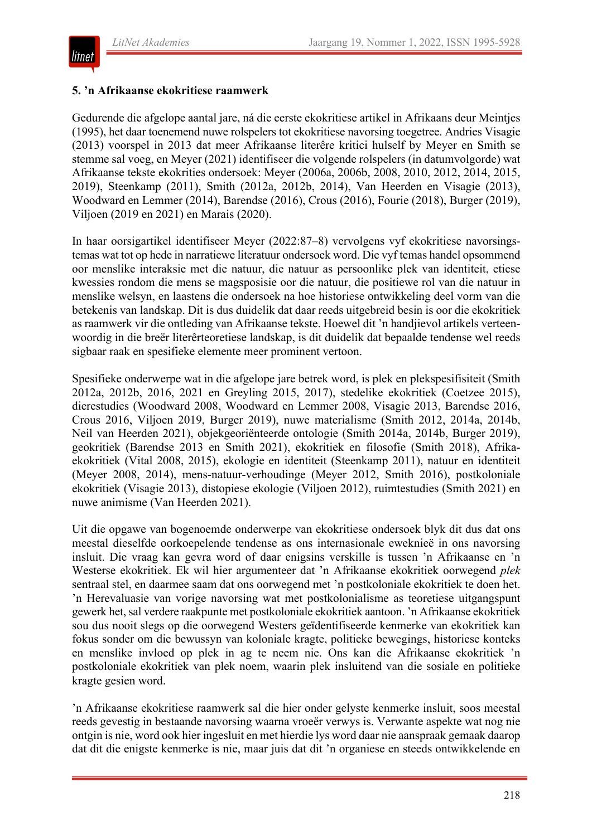

#### **5. 'n Afrikaanse ekokritiese raamwerk**

Gedurende die afgelope aantal jare, ná die eerste ekokritiese artikel in Afrikaans deur Meintjes (1995), het daar toenemend nuwe rolspelers tot ekokritiese navorsing toegetree. Andries Visagie (2013) voorspel in 2013 dat meer Afrikaanse literêre kritici hulself by Meyer en Smith se stemme sal voeg, en Meyer (2021) identifiseer die volgende rolspelers (in datumvolgorde) wat Afrikaanse tekste ekokrities ondersoek: Meyer (2006a, 2006b, 2008, 2010, 2012, 2014, 2015, 2019), Steenkamp (2011), Smith (2012a, 2012b, 2014), Van Heerden en Visagie (2013), Woodward en Lemmer (2014), Barendse (2016), Crous (2016), Fourie (2018), Burger (2019), Viljoen (2019 en 2021) en Marais (2020).

In haar oorsigartikel identifiseer Meyer (2022:87–8) vervolgens vyf ekokritiese navorsingstemas wat tot op hede in narratiewe literatuur ondersoek word. Die vyf temas handel opsommend oor menslike interaksie met die natuur, die natuur as persoonlike plek van identiteit, etiese kwessies rondom die mens se magsposisie oor die natuur, die positiewe rol van die natuur in menslike welsyn, en laastens die ondersoek na hoe historiese ontwikkeling deel vorm van die betekenis van landskap. Dit is dus duidelik dat daar reeds uitgebreid besin is oor die ekokritiek as raamwerk vir die ontleding van Afrikaanse tekste. Hoewel dit 'n handjievol artikels verteenwoordig in die breër literêrteoretiese landskap, is dit duidelik dat bepaalde tendense wel reeds sigbaar raak en spesifieke elemente meer prominent vertoon.

Spesifieke onderwerpe wat in die afgelope jare betrek word, is plek en plekspesifisiteit (Smith 2012a, 2012b, 2016, 2021 en Greyling 2015, 2017), stedelike ekokritiek (Coetzee 2015), dierestudies (Woodward 2008, Woodward en Lemmer 2008, Visagie 2013, Barendse 2016, Crous 2016, Viljoen 2019, Burger 2019), nuwe materialisme (Smith 2012, 2014a, 2014b, Neil van Heerden 2021), objekgeoriënteerde ontologie (Smith 2014a, 2014b, Burger 2019), geokritiek (Barendse 2013 en Smith 2021), ekokritiek en filosofie (Smith 2018), Afrikaekokritiek (Vital 2008, 2015), ekologie en identiteit (Steenkamp 2011), natuur en identiteit (Meyer 2008, 2014), mens-natuur-verhoudinge (Meyer 2012, Smith 2016), postkoloniale ekokritiek (Visagie 2013), distopiese ekologie (Viljoen 2012), ruimtestudies (Smith 2021) en nuwe animisme (Van Heerden 2021).

Uit die opgawe van bogenoemde onderwerpe van ekokritiese ondersoek blyk dit dus dat ons meestal dieselfde oorkoepelende tendense as ons internasionale eweknieë in ons navorsing insluit. Die vraag kan gevra word of daar enigsins verskille is tussen 'n Afrikaanse en 'n Westerse ekokritiek. Ek wil hier argumenteer dat 'n Afrikaanse ekokritiek oorwegend *plek* sentraal stel, en daarmee saam dat ons oorwegend met 'n postkoloniale ekokritiek te doen het. 'n Herevaluasie van vorige navorsing wat met postkolonialisme as teoretiese uitgangspunt gewerk het, sal verdere raakpunte met postkoloniale ekokritiek aantoon. 'n Afrikaanse ekokritiek sou dus nooit slegs op die oorwegend Westers geïdentifiseerde kenmerke van ekokritiek kan fokus sonder om die bewussyn van koloniale kragte, politieke bewegings, historiese konteks en menslike invloed op plek in ag te neem nie. Ons kan die Afrikaanse ekokritiek 'n postkoloniale ekokritiek van plek noem, waarin plek insluitend van die sosiale en politieke kragte gesien word.

'n Afrikaanse ekokritiese raamwerk sal die hier onder gelyste kenmerke insluit, soos meestal reeds gevestig in bestaande navorsing waarna vroeër verwys is. Verwante aspekte wat nog nie ontgin is nie, word ook hier ingesluit en met hierdie lys word daar nie aanspraak gemaak daarop dat dit die enigste kenmerke is nie, maar juis dat dit 'n organiese en steeds ontwikkelende en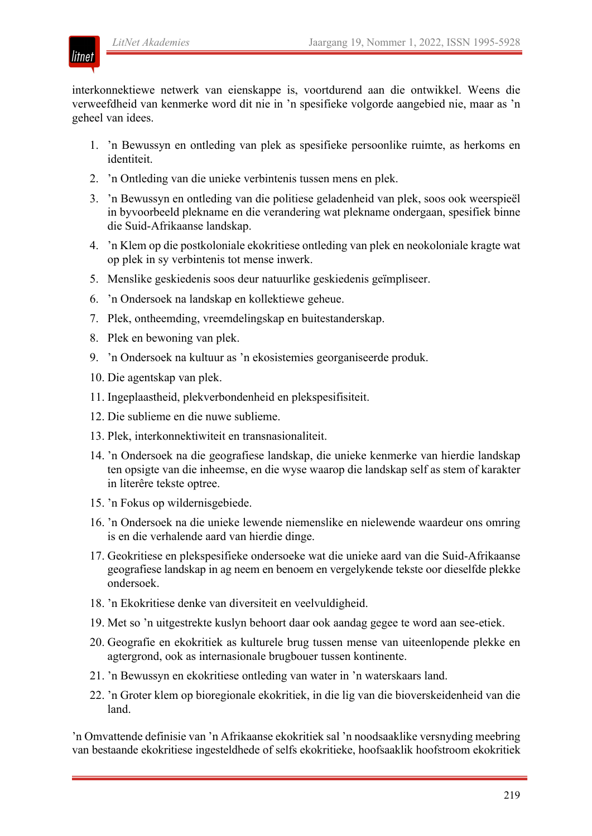

interkonnektiewe netwerk van eienskappe is, voortdurend aan die ontwikkel. Weens die verweefdheid van kenmerke word dit nie in 'n spesifieke volgorde aangebied nie, maar as 'n geheel van idees.

- 1. 'n Bewussyn en ontleding van plek as spesifieke persoonlike ruimte, as herkoms en identiteit.
- 2. 'n Ontleding van die unieke verbintenis tussen mens en plek.
- 3. 'n Bewussyn en ontleding van die politiese geladenheid van plek, soos ook weerspieël in byvoorbeeld plekname en die verandering wat plekname ondergaan, spesifiek binne die Suid-Afrikaanse landskap.
- 4. 'n Klem op die postkoloniale ekokritiese ontleding van plek en neokoloniale kragte wat op plek in sy verbintenis tot mense inwerk.
- 5. Menslike geskiedenis soos deur natuurlike geskiedenis geïmpliseer.
- 6. 'n Ondersoek na landskap en kollektiewe geheue.
- 7. Plek, ontheemding, vreemdelingskap en buitestanderskap.
- 8. Plek en bewoning van plek.
- 9. 'n Ondersoek na kultuur as 'n ekosistemies georganiseerde produk.
- 10. Die agentskap van plek.
- 11. Ingeplaastheid, plekverbondenheid en plekspesifisiteit.
- 12. Die sublieme en die nuwe sublieme.
- 13. Plek, interkonnektiwiteit en transnasionaliteit.
- 14. 'n Ondersoek na die geografiese landskap, die unieke kenmerke van hierdie landskap ten opsigte van die inheemse, en die wyse waarop die landskap self as stem of karakter in literêre tekste optree.
- 15. 'n Fokus op wildernisgebiede.
- 16. 'n Ondersoek na die unieke lewende niemenslike en nielewende waardeur ons omring is en die verhalende aard van hierdie dinge.
- 17. Geokritiese en plekspesifieke ondersoeke wat die unieke aard van die Suid-Afrikaanse geografiese landskap in ag neem en benoem en vergelykende tekste oor dieselfde plekke ondersoek.
- 18. 'n Ekokritiese denke van diversiteit en veelvuldigheid.
- 19. Met so 'n uitgestrekte kuslyn behoort daar ook aandag gegee te word aan see-etiek.
- 20. Geografie en ekokritiek as kulturele brug tussen mense van uiteenlopende plekke en agtergrond, ook as internasionale brugbouer tussen kontinente.
- 21. 'n Bewussyn en ekokritiese ontleding van water in 'n waterskaars land.
- 22. 'n Groter klem op bioregionale ekokritiek, in die lig van die bioverskeidenheid van die land.

'n Omvattende definisie van 'n Afrikaanse ekokritiek sal 'n noodsaaklike versnyding meebring van bestaande ekokritiese ingesteldhede of selfs ekokritieke, hoofsaaklik hoofstroom ekokritiek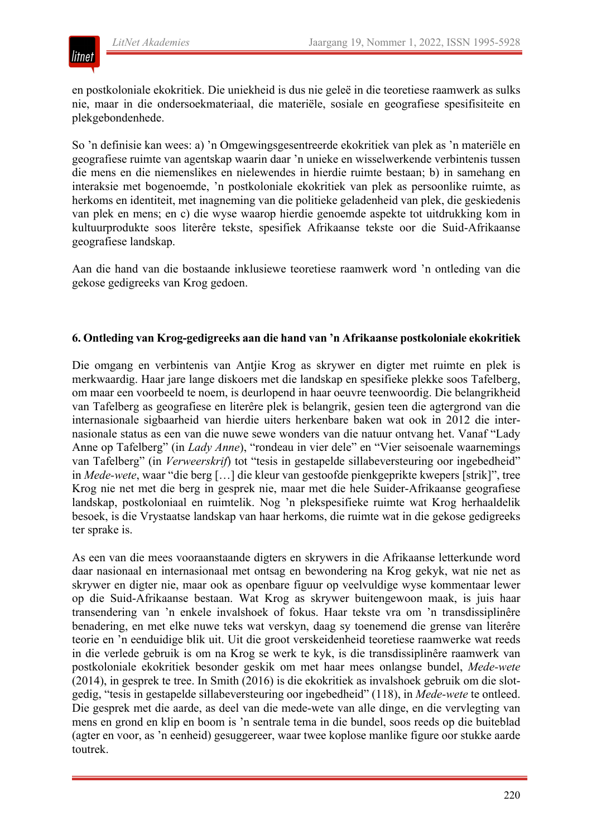

en postkoloniale ekokritiek. Die uniekheid is dus nie geleë in die teoretiese raamwerk as sulks nie, maar in die ondersoekmateriaal, die materiële, sosiale en geografiese spesifisiteite en plekgebondenhede.

So 'n definisie kan wees: a) 'n Omgewingsgesentreerde ekokritiek van plek as 'n materiële en geografiese ruimte van agentskap waarin daar 'n unieke en wisselwerkende verbintenis tussen die mens en die niemenslikes en nielewendes in hierdie ruimte bestaan; b) in samehang en interaksie met bogenoemde, 'n postkoloniale ekokritiek van plek as persoonlike ruimte, as herkoms en identiteit, met inagneming van die politieke geladenheid van plek, die geskiedenis van plek en mens; en c) die wyse waarop hierdie genoemde aspekte tot uitdrukking kom in kultuurprodukte soos literêre tekste, spesifiek Afrikaanse tekste oor die Suid-Afrikaanse geografiese landskap.

Aan die hand van die bostaande inklusiewe teoretiese raamwerk word 'n ontleding van die gekose gedigreeks van Krog gedoen.

#### **6. Ontleding van Krog-gedigreeks aan die hand van 'n Afrikaanse postkoloniale ekokritiek**

Die omgang en verbintenis van Antjie Krog as skrywer en digter met ruimte en plek is merkwaardig. Haar jare lange diskoers met die landskap en spesifieke plekke soos Tafelberg, om maar een voorbeeld te noem, is deurlopend in haar oeuvre teenwoordig. Die belangrikheid van Tafelberg as geografiese en literêre plek is belangrik, gesien teen die agtergrond van die internasionale sigbaarheid van hierdie uiters herkenbare baken wat ook in 2012 die internasionale status as een van die nuwe sewe wonders van die natuur ontvang het. Vanaf "Lady Anne op Tafelberg" (in *Lady Anne*), "rondeau in vier dele" en "Vier seisoenale waarnemings van Tafelberg" (in *Verweerskrif*) tot "tesis in gestapelde sillabeversteuring oor ingebedheid" in *Mede-wete*, waar "die berg […] die kleur van gestoofde pienkgeprikte kwepers [strik]", tree Krog nie net met die berg in gesprek nie, maar met die hele Suider-Afrikaanse geografiese landskap, postkoloniaal en ruimtelik. Nog 'n plekspesifieke ruimte wat Krog herhaaldelik besoek, is die Vrystaatse landskap van haar herkoms, die ruimte wat in die gekose gedigreeks ter sprake is.

As een van die mees vooraanstaande digters en skrywers in die Afrikaanse letterkunde word daar nasionaal en internasionaal met ontsag en bewondering na Krog gekyk, wat nie net as skrywer en digter nie, maar ook as openbare figuur op veelvuldige wyse kommentaar lewer op die Suid-Afrikaanse bestaan. Wat Krog as skrywer buitengewoon maak, is juis haar transendering van 'n enkele invalshoek of fokus. Haar tekste vra om 'n transdissiplinêre benadering, en met elke nuwe teks wat verskyn, daag sy toenemend die grense van literêre teorie en 'n eenduidige blik uit. Uit die groot verskeidenheid teoretiese raamwerke wat reeds in die verlede gebruik is om na Krog se werk te kyk, is die transdissiplinêre raamwerk van postkoloniale ekokritiek besonder geskik om met haar mees onlangse bundel, *Mede-wete* (2014), in gesprek te tree. In Smith (2016) is die ekokritiek as invalshoek gebruik om die slotgedig, "tesis in gestapelde sillabeversteuring oor ingebedheid" (118), in *Mede-wete* te ontleed. Die gesprek met die aarde, as deel van die mede-wete van alle dinge, en die vervlegting van mens en grond en klip en boom is 'n sentrale tema in die bundel, soos reeds op die buiteblad (agter en voor, as 'n eenheid) gesuggereer, waar twee koplose manlike figure oor stukke aarde toutrek.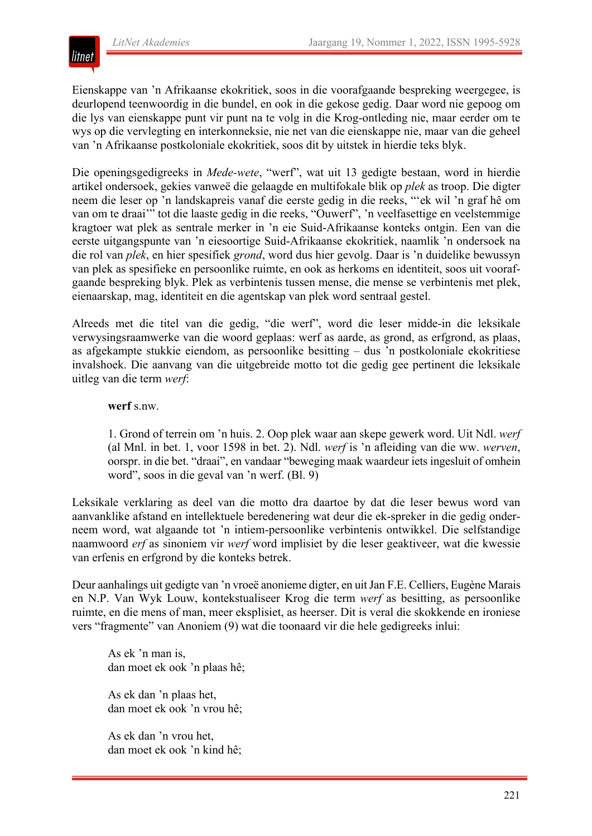

Eienskappe van 'n Afrikaanse ekokritiek, soos in die voorafgaande bespreking weergegee, is deurlopend teenwoordig in die bundel, en ook in die gekose gedig. Daar word nie gepoog om die lys van eienskappe punt vir punt na te volg in die Krog-ontleding nie, maar eerder om te wys op die vervlegting en interkonneksie, nie net van die eienskappe nie, maar van die geheel van 'n Afrikaanse postkoloniale ekokritiek, soos dit by uitstek in hierdie teks blyk.

Die openingsgedigreeks in *Mede-wete*, "werf", wat uit 13 gedigte bestaan, word in hierdie artikel ondersoek, gekies vanweë die gelaagde en multifokale blik op *plek* as troop. Die digter neem die leser op 'n landskapreis vanaf die eerste gedig in die reeks, "'ek wil 'n graf hê om van om te draai'" tot die laaste gedig in die reeks, "Ouwerf", 'n veelfasettige en veelstemmige kragtoer wat plek as sentrale merker in 'n eie Suid-Afrikaanse konteks ontgin. Een van die eerste uitgangspunte van 'n eiesoortige Suid-Afrikaanse ekokritiek, naamlik 'n ondersoek na die rol van *plek*, en hier spesifiek *grond*, word dus hier gevolg. Daar is 'n duidelike bewussyn van plek as spesifieke en persoonlike ruimte, en ook as herkoms en identiteit, soos uit voorafgaande bespreking blyk. Plek as verbintenis tussen mense, die mense se verbintenis met plek, eienaarskap, mag, identiteit en die agentskap van plek word sentraal gestel.

Alreeds met die titel van die gedig, "die werf", word die leser midde-in die leksikale verwysingsraamwerke van die woord geplaas: werf as aarde, as grond, as erfgrond, as plaas, as afgekampte stukkie eiendom, as persoonlike besitting – dus 'n postkoloniale ekokritiese invalshoek. Die aanvang van die uitgebreide motto tot die gedig gee pertinent die leksikale uitleg van die term *werf*:

#### **werf** s.nw.

1. Grond of terrein om 'n huis. 2. Oop plek waar aan skepe gewerk word. Uit Ndl. *werf* (al Mnl. in bet. 1, voor 1598 in bet. 2). Ndl. *werf* is 'n afleiding van die ww. *werven*, oorspr. in die bet. "draai", en vandaar "beweging maak waardeur iets ingesluit of omhein word", soos in die geval van 'n werf. (Bl. 9)

Leksikale verklaring as deel van die motto dra daartoe by dat die leser bewus word van aanvanklike afstand en intellektuele beredenering wat deur die ek-spreker in die gedig onderneem word, wat algaande tot 'n intiem-persoonlike verbintenis ontwikkel. Die selfstandige naamwoord *erf* as sinoniem vir *werf* word implisiet by die leser geaktiveer, wat die kwessie van erfenis en erfgrond by die konteks betrek.

Deur aanhalings uit gedigte van 'n vroeë anonieme digter, en uit Jan F.E. Celliers, Eugène Marais en N.P. Van Wyk Louw, kontekstualiseer Krog die term *werf* as besitting, as persoonlike ruimte, en die mens of man, meer eksplisiet, as heerser. Dit is veral die skokkende en ironiese vers "fragmente" van Anoniem (9) wat die toonaard vir die hele gedigreeks inlui:

As ek 'n man is, dan moet ek ook 'n plaas hê;

As ek dan 'n plaas het, dan moet ek ook 'n vrou hê;

As ek dan 'n vrou het, dan moet ek ook 'n kind hê;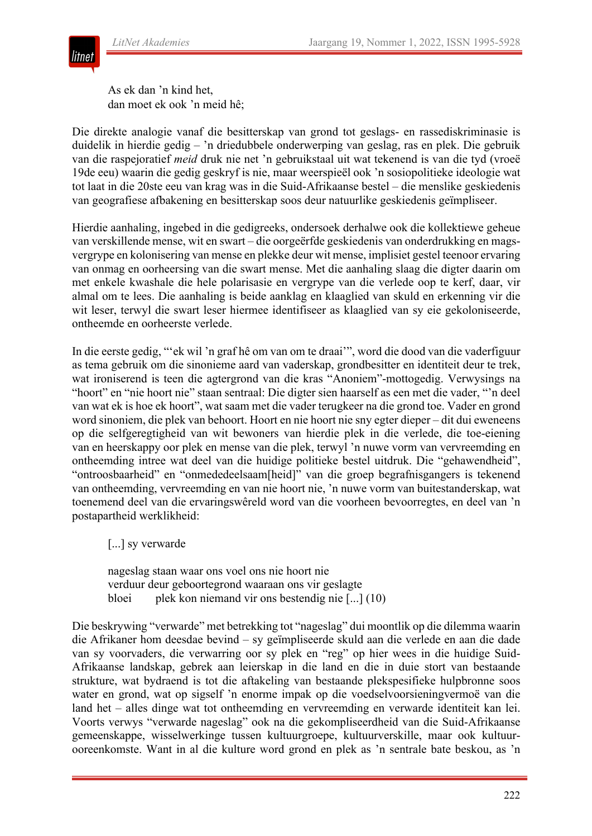

As ek dan 'n kind het, dan moet ek ook 'n meid hê;

Die direkte analogie vanaf die besitterskap van grond tot geslags- en rassediskriminasie is duidelik in hierdie gedig – 'n driedubbele onderwerping van geslag, ras en plek. Die gebruik van die raspejoratief *meid* druk nie net 'n gebruikstaal uit wat tekenend is van die tyd (vroeë 19de eeu) waarin die gedig geskryf is nie, maar weerspieël ook 'n sosiopolitieke ideologie wat tot laat in die 20ste eeu van krag was in die Suid-Afrikaanse bestel – die menslike geskiedenis van geografiese afbakening en besitterskap soos deur natuurlike geskiedenis geïmpliseer.

Hierdie aanhaling, ingebed in die gedigreeks, ondersoek derhalwe ook die kollektiewe geheue van verskillende mense, wit en swart – die oorgeërfde geskiedenis van onderdrukking en magsvergrype en kolonisering van mense en plekke deur wit mense, implisiet gestel teenoor ervaring van onmag en oorheersing van die swart mense. Met die aanhaling slaag die digter daarin om met enkele kwashale die hele polarisasie en vergrype van die verlede oop te kerf, daar, vir almal om te lees. Die aanhaling is beide aanklag en klaaglied van skuld en erkenning vir die wit leser, terwyl die swart leser hiermee identifiseer as klaaglied van sy eie gekoloniseerde, ontheemde en oorheerste verlede.

In die eerste gedig, "'ek wil 'n graf hê om van om te draai'", word die dood van die vaderfiguur as tema gebruik om die sinonieme aard van vaderskap, grondbesitter en identiteit deur te trek, wat ironiserend is teen die agtergrond van die kras "Anoniem"-mottogedig. Verwysings na "hoort" en "nie hoort nie" staan sentraal: Die digter sien haarself as een met die vader, "'n deel van wat ek is hoe ek hoort", wat saam met die vader terugkeer na die grond toe. Vader en grond word sinoniem, die plek van behoort. Hoort en nie hoort nie sny egter dieper – dit dui eweneens op die selfgeregtigheid van wit bewoners van hierdie plek in die verlede, die toe-eiening van en heerskappy oor plek en mense van die plek, terwyl 'n nuwe vorm van vervreemding en ontheemding intree wat deel van die huidige politieke bestel uitdruk. Die "gehawendheid", "ontroosbaarheid" en "onmededeelsaam[heid]" van die groep begrafnisgangers is tekenend van ontheemding, vervreemding en van nie hoort nie, 'n nuwe vorm van buitestanderskap, wat toenemend deel van die ervaringswêreld word van die voorheen bevoorregtes, en deel van 'n postapartheid werklikheid:

[...] sy verwarde

nageslag staan waar ons voel ons nie hoort nie verduur deur geboortegrond waaraan ons vir geslagte bloei plek kon niemand vir ons bestendig nie [...] (10)

Die beskrywing "verwarde" met betrekking tot "nageslag" dui moontlik op die dilemma waarin die Afrikaner hom deesdae bevind – sy geïmpliseerde skuld aan die verlede en aan die dade van sy voorvaders, die verwarring oor sy plek en "reg" op hier wees in die huidige Suid-Afrikaanse landskap, gebrek aan leierskap in die land en die in duie stort van bestaande strukture, wat bydraend is tot die aftakeling van bestaande plekspesifieke hulpbronne soos water en grond, wat op sigself 'n enorme impak op die voedselvoorsieningvermoë van die land het – alles dinge wat tot ontheemding en vervreemding en verwarde identiteit kan lei. Voorts verwys "verwarde nageslag" ook na die gekompliseerdheid van die Suid-Afrikaanse gemeenskappe, wisselwerkinge tussen kultuurgroepe, kultuurverskille, maar ook kultuurooreenkomste. Want in al die kulture word grond en plek as 'n sentrale bate beskou, as 'n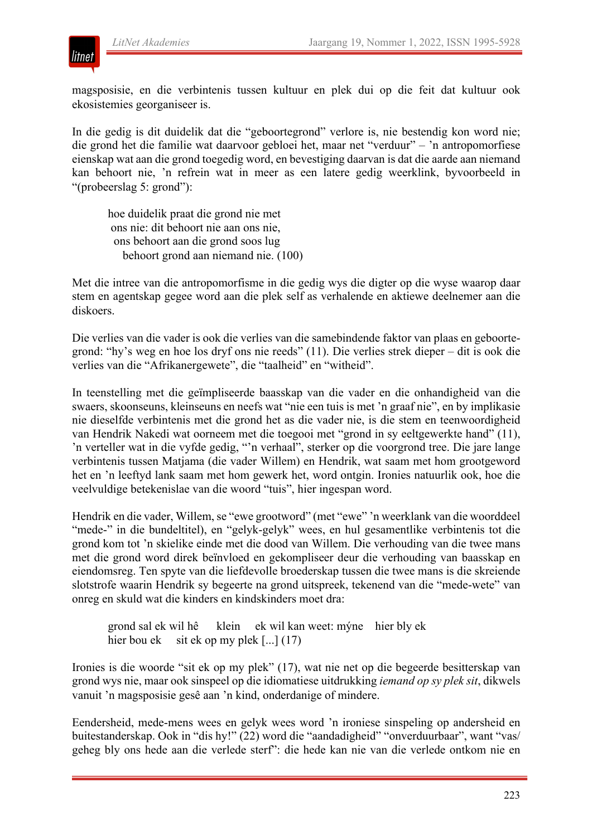magsposisie, en die verbintenis tussen kultuur en plek dui op die feit dat kultuur ook ekosistemies georganiseer is.

In die gedig is dit duidelik dat die "geboortegrond" verlore is, nie bestendig kon word nie; die grond het die familie wat daarvoor gebloei het, maar net "verduur" – 'n antropomorfiese eienskap wat aan die grond toegedig word, en bevestiging daarvan is dat die aarde aan niemand kan behoort nie, 'n refrein wat in meer as een latere gedig weerklink, byvoorbeeld in "(probeerslag 5: grond"):

hoe duidelik praat die grond nie met ons nie: dit behoort nie aan ons nie, ons behoort aan die grond soos lug behoort grond aan niemand nie. (100)

Met die intree van die antropomorfisme in die gedig wys die digter op die wyse waarop daar stem en agentskap gegee word aan die plek self as verhalende en aktiewe deelnemer aan die diskoers.

Die verlies van die vader is ook die verlies van die samebindende faktor van plaas en geboortegrond: "hy's weg en hoe los dryf ons nie reeds" (11). Die verlies strek dieper – dit is ook die verlies van die "Afrikanergewete", die "taalheid" en "witheid".

In teenstelling met die geïmpliseerde baasskap van die vader en die onhandigheid van die swaers, skoonseuns, kleinseuns en neefs wat "nie een tuis is met 'n graaf nie", en by implikasie nie dieselfde verbintenis met die grond het as die vader nie, is die stem en teenwoordigheid van Hendrik Nakedi wat oorneem met die toegooi met "grond in sy eeltgewerkte hand" (11), 'n verteller wat in die vyfde gedig, "'n verhaal", sterker op die voorgrond tree. Die jare lange verbintenis tussen Matjama (die vader Willem) en Hendrik, wat saam met hom grootgeword het en 'n leeftyd lank saam met hom gewerk het, word ontgin. Ironies natuurlik ook, hoe die veelvuldige betekenislae van die woord "tuis", hier ingespan word.

Hendrik en die vader, Willem, se "ewe grootword" (met "ewe" 'n weerklank van die woorddeel "mede-" in die bundeltitel), en "gelyk-gelyk" wees, en hul gesamentlike verbintenis tot die grond kom tot 'n skielike einde met die dood van Willem. Die verhouding van die twee mans met die grond word direk beïnvloed en gekompliseer deur die verhouding van baasskap en eiendomsreg. Ten spyte van die liefdevolle broederskap tussen die twee mans is die skreiende slotstrofe waarin Hendrik sy begeerte na grond uitspreek, tekenend van die "mede-wete" van onreg en skuld wat die kinders en kindskinders moet dra:

grond sal ek wil hê klein ek wil kan weet: mýne hier bly ek hier bou ek sit ek op my plek [...] (17)

Ironies is die woorde "sit ek op my plek" (17), wat nie net op die begeerde besitterskap van grond wys nie, maar ook sinspeel op die idiomatiese uitdrukking *iemand op sy plek sit*, dikwels vanuit 'n magsposisie gesê aan 'n kind, onderdanige of mindere.

Eendersheid, mede-mens wees en gelyk wees word 'n ironiese sinspeling op andersheid en buitestanderskap. Ook in "dis hy!" (22) word die "aandadigheid" "onverduurbaar", want "vas/ geheg bly ons hede aan die verlede sterf": die hede kan nie van die verlede ontkom nie en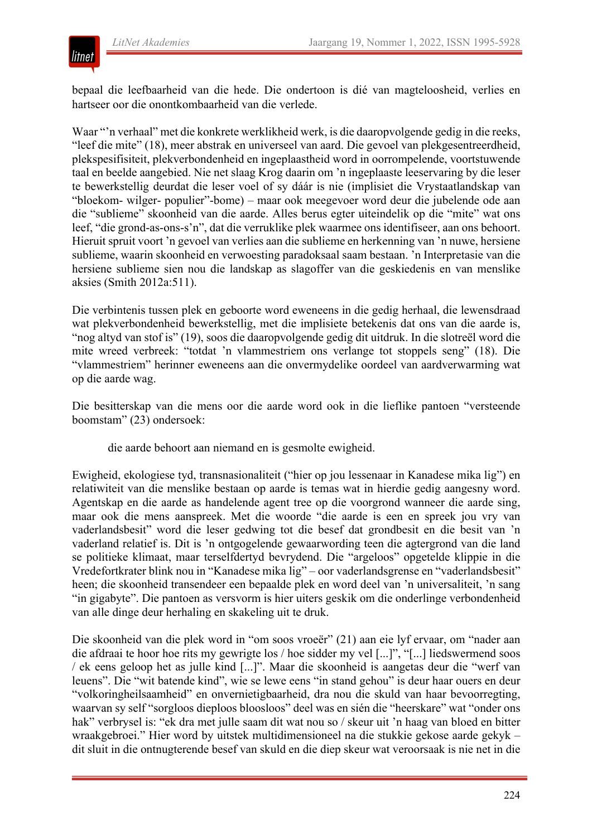

bepaal die leefbaarheid van die hede. Die ondertoon is dié van magteloosheid, verlies en hartseer oor die onontkombaarheid van die verlede.

Waar "'n verhaal" met die konkrete werklikheid werk, is die daaropvolgende gedig in die reeks, "leef die mite" (18), meer abstrak en universeel van aard. Die gevoel van plekgesentreerdheid, plekspesifisiteit, plekverbondenheid en ingeplaastheid word in oorrompelende, voortstuwende taal en beelde aangebied. Nie net slaag Krog daarin om 'n ingeplaaste leeservaring by die leser te bewerkstellig deurdat die leser voel of sy dáár is nie (implisiet die Vrystaatlandskap van "bloekom- wilger- populier"-bome) – maar ook meegevoer word deur die jubelende ode aan die "sublieme" skoonheid van die aarde. Alles berus egter uiteindelik op die "mite" wat ons leef, "die grond-as-ons-s'n", dat die verruklike plek waarmee ons identifiseer, aan ons behoort. Hieruit spruit voort 'n gevoel van verlies aan die sublieme en herkenning van 'n nuwe, hersiene sublieme, waarin skoonheid en verwoesting paradoksaal saam bestaan. 'n Interpretasie van die hersiene sublieme sien nou die landskap as slagoffer van die geskiedenis en van menslike aksies (Smith 2012a:511).

Die verbintenis tussen plek en geboorte word eweneens in die gedig herhaal, die lewensdraad wat plekverbondenheid bewerkstellig, met die implisiete betekenis dat ons van die aarde is, "nog altyd van stof is" (19), soos die daaropvolgende gedig dit uitdruk. In die slotreël word die mite wreed verbreek: "totdat 'n vlammestriem ons verlange tot stoppels seng" (18). Die "vlammestriem" herinner eweneens aan die onvermydelike oordeel van aardverwarming wat op die aarde wag.

Die besitterskap van die mens oor die aarde word ook in die lieflike pantoen "versteende boomstam" (23) ondersoek:

die aarde behoort aan niemand en is gesmolte ewigheid.

Ewigheid, ekologiese tyd, transnasionaliteit ("hier op jou lessenaar in Kanadese mika lig") en relatiwiteit van die menslike bestaan op aarde is temas wat in hierdie gedig aangesny word. Agentskap en die aarde as handelende agent tree op die voorgrond wanneer die aarde sing, maar ook die mens aanspreek. Met die woorde "die aarde is een en spreek jou vry van vaderlandsbesit" word die leser gedwing tot die besef dat grondbesit en die besit van 'n vaderland relatief is. Dit is 'n ontgogelende gewaarwording teen die agtergrond van die land se politieke klimaat, maar terselfdertyd bevrydend. Die "argeloos" opgetelde klippie in die Vredefortkrater blink nou in "Kanadese mika lig" – oor vaderlandsgrense en "vaderlandsbesit" heen; die skoonheid transendeer een bepaalde plek en word deel van 'n universaliteit, 'n sang "in gigabyte". Die pantoen as versvorm is hier uiters geskik om die onderlinge verbondenheid van alle dinge deur herhaling en skakeling uit te druk.

Die skoonheid van die plek word in "om soos vroeër" (21) aan eie lyf ervaar, om "nader aan die afdraai te hoor hoe rits my gewrigte los / hoe sidder my vel [...]", "[...] liedswermend soos / ek eens geloop het as julle kind [...]". Maar die skoonheid is aangetas deur die "werf van leuens". Die "wit batende kind", wie se lewe eens "in stand gehou" is deur haar ouers en deur "volkoringheilsaamheid" en onvernietigbaarheid, dra nou die skuld van haar bevoorregting, waarvan sy self "sorgloos dieploos bloosloos" deel was en sién die "heerskare" wat "onder ons hak" verbrysel is: "ek dra met julle saam dit wat nou so / skeur uit 'n haag van bloed en bitter wraakgebroei." Hier word by uitstek multidimensioneel na die stukkie gekose aarde gekyk – dit sluit in die ontnugterende besef van skuld en die diep skeur wat veroorsaak is nie net in die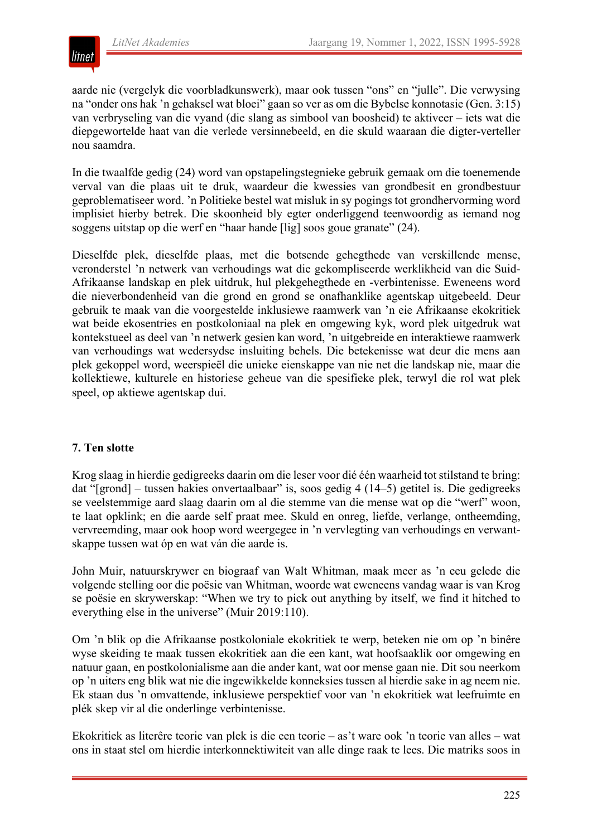

aarde nie (vergelyk die voorbladkunswerk), maar ook tussen "ons" en "julle". Die verwysing na "onder ons hak 'n gehaksel wat bloei" gaan so ver as om die Bybelse konnotasie (Gen. 3:15) van verbryseling van die vyand (die slang as simbool van boosheid) te aktiveer – iets wat die diepgewortelde haat van die verlede versinnebeeld, en die skuld waaraan die digter-verteller nou saamdra.

In die twaalfde gedig (24) word van opstapelingstegnieke gebruik gemaak om die toenemende verval van die plaas uit te druk, waardeur die kwessies van grondbesit en grondbestuur geproblematiseer word. 'n Politieke bestel wat misluk in sy pogings tot grondhervorming word implisiet hierby betrek. Die skoonheid bly egter onderliggend teenwoordig as iemand nog soggens uitstap op die werf en "haar hande [lig] soos goue granate" (24).

Dieselfde plek, dieselfde plaas, met die botsende gehegthede van verskillende mense, veronderstel 'n netwerk van verhoudings wat die gekompliseerde werklikheid van die Suid-Afrikaanse landskap en plek uitdruk, hul plekgehegthede en -verbintenisse. Eweneens word die nieverbondenheid van die grond en grond se onafhanklike agentskap uitgebeeld. Deur gebruik te maak van die voorgestelde inklusiewe raamwerk van 'n eie Afrikaanse ekokritiek wat beide ekosentries en postkoloniaal na plek en omgewing kyk, word plek uitgedruk wat kontekstueel as deel van 'n netwerk gesien kan word, 'n uitgebreide en interaktiewe raamwerk van verhoudings wat wedersydse insluiting behels. Die betekenisse wat deur die mens aan plek gekoppel word, weerspieël die unieke eienskappe van nie net die landskap nie, maar die kollektiewe, kulturele en historiese geheue van die spesifieke plek, terwyl die rol wat plek speel, op aktiewe agentskap dui.

## **7. Ten slotte**

Krog slaag in hierdie gedigreeks daarin om die leser voor dié één waarheid tot stilstand te bring: dat "[grond] – tussen hakies onvertaalbaar" is, soos gedig 4 (14–5) getitel is. Die gedigreeks se veelstemmige aard slaag daarin om al die stemme van die mense wat op die "werf" woon, te laat opklink; en die aarde self praat mee. Skuld en onreg, liefde, verlange, ontheemding, vervreemding, maar ook hoop word weergegee in 'n vervlegting van verhoudings en verwantskappe tussen wat óp en wat ván die aarde is.

John Muir, natuurskrywer en biograaf van Walt Whitman, maak meer as 'n eeu gelede die volgende stelling oor die poësie van Whitman, woorde wat eweneens vandag waar is van Krog se poësie en skrywerskap: "When we try to pick out anything by itself, we find it hitched to everything else in the universe" (Muir 2019:110).

Om 'n blik op die Afrikaanse postkoloniale ekokritiek te werp, beteken nie om op 'n binêre wyse skeiding te maak tussen ekokritiek aan die een kant, wat hoofsaaklik oor omgewing en natuur gaan, en postkolonialisme aan die ander kant, wat oor mense gaan nie. Dit sou neerkom op 'n uiters eng blik wat nie die ingewikkelde konneksies tussen al hierdie sake in ag neem nie. Ek staan dus 'n omvattende, inklusiewe perspektief voor van 'n ekokritiek wat leefruimte en plék skep vir al die onderlinge verbintenisse.

Ekokritiek as literêre teorie van plek is die een teorie – as't ware ook 'n teorie van alles – wat ons in staat stel om hierdie interkonnektiwiteit van alle dinge raak te lees. Die matriks soos in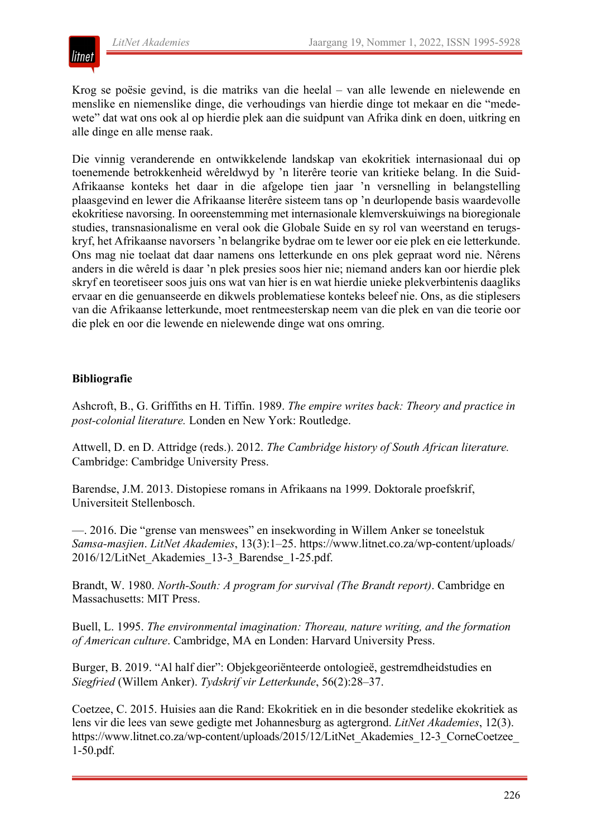

Krog se poësie gevind, is die matriks van die heelal – van alle lewende en nielewende en menslike en niemenslike dinge, die verhoudings van hierdie dinge tot mekaar en die "medewete" dat wat ons ook al op hierdie plek aan die suidpunt van Afrika dink en doen, uitkring en alle dinge en alle mense raak.

Die vinnig veranderende en ontwikkelende landskap van ekokritiek internasionaal dui op toenemende betrokkenheid wêreldwyd by 'n literêre teorie van kritieke belang. In die Suid-Afrikaanse konteks het daar in die afgelope tien jaar 'n versnelling in belangstelling plaasgevind en lewer die Afrikaanse literêre sisteem tans op 'n deurlopende basis waardevolle ekokritiese navorsing. In ooreenstemming met internasionale klemverskuiwings na bioregionale studies, transnasionalisme en veral ook die Globale Suide en sy rol van weerstand en terugskryf, het Afrikaanse navorsers 'n belangrike bydrae om te lewer oor eie plek en eie letterkunde. Ons mag nie toelaat dat daar namens ons letterkunde en ons plek gepraat word nie. Nêrens anders in die wêreld is daar 'n plek presies soos hier nie; niemand anders kan oor hierdie plek skryf en teoretiseer soos juis ons wat van hier is en wat hierdie unieke plekverbintenis daagliks ervaar en die genuanseerde en dikwels problematiese konteks beleef nie. Ons, as die stiplesers van die Afrikaanse letterkunde, moet rentmeesterskap neem van die plek en van die teorie oor die plek en oor die lewende en nielewende dinge wat ons omring.

### **Bibliografie**

Ashcroft, B., G. Griffiths en H. Tiffin. 1989. *The empire writes back: Theory and practice in post-colonial literature.* Londen en New York: Routledge.

Attwell, D. en D. Attridge (reds.). 2012. *The Cambridge history of South African literature.* Cambridge: Cambridge University Press.

Barendse, J.M. 2013. Distopiese romans in Afrikaans na 1999. Doktorale proefskrif, Universiteit Stellenbosch.

—. 2016. Die "grense van menswees" en insekwording in Willem Anker se toneelstuk *Samsa-masjien*. *LitNet Akademies*, 13(3):1–25. https://www.litnet.co.za/wp-content/uploads/ 2016/12/LitNet\_Akademies\_13-3\_Barendse\_1-25.pdf.

Brandt, W. 1980. *North-South: A program for survival (The Brandt report)*. Cambridge en Massachusetts: MIT Press.

Buell, L. 1995. *The environmental imagination: Thoreau, nature writing, and the formation of American culture*. Cambridge, MA en Londen: Harvard University Press.

Burger, B. 2019. "Al half dier": Objekgeoriënteerde ontologieë, gestremdheidstudies en *Siegfried* (Willem Anker). *Tydskrif vir Letterkunde*, 56(2):28–37.

Coetzee, C. 2015. Huisies aan die Rand: Ekokritiek en in die besonder stedelike ekokritiek as lens vir die lees van sewe gedigte met Johannesburg as agtergrond. *LitNet Akademies*, 12(3). https://www.litnet.co.za/wp-content/uploads/2015/12/LitNet\_Akademies\_12-3\_CorneCoetzee 1-50.pdf.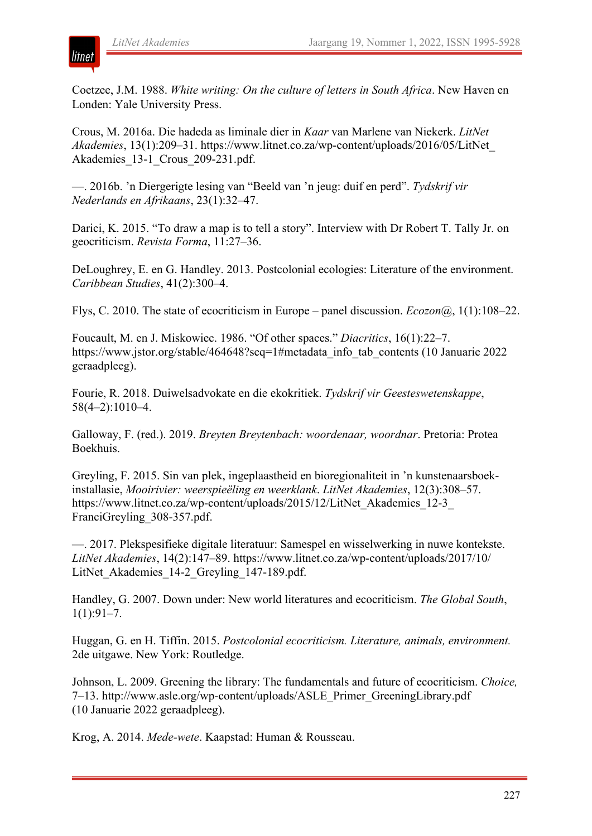

Coetzee, J.M. 1988. *White writing: On the culture of letters in South Africa*. New Haven en Londen: Yale University Press.

Crous, M. 2016a. Die hadeda as liminale dier in *Kaar* van Marlene van Niekerk. *LitNet Akademies*, 13(1):209–31. https://www.litnet.co.za/wp-content/uploads/2016/05/LitNet\_ Akademies\_13-1\_Crous\_209-231.pdf.

—. 2016b. 'n Diergerigte lesing van "Beeld van 'n jeug: duif en perd". *Tydskrif vir Nederlands en Afrikaans*, 23(1):32–47.

Darici, K. 2015. "To draw a map is to tell a story". Interview with Dr Robert T. Tally Jr. on geocriticism. *Revista Forma*, 11:27–36.

DeLoughrey, E. en G. Handley. 2013. Postcolonial ecologies: Literature of the environment. *Caribbean Studies*, 41(2):300–4.

Flys, C. 2010. The state of ecocriticism in Europe – panel discussion. *Ecozon@*, 1(1):108–22.

Foucault, M. en J. Miskowiec. 1986. "Of other spaces." *Diacritics*, 16(1):22–7. https://www.jstor.org/stable/464648?seq=1#metadata\_info\_tab\_contents (10 Januarie 2022) geraadpleeg).

Fourie, R. 2018. Duiwelsadvokate en die ekokritiek. *Tydskrif vir Geesteswetenskappe*, 58(4–2):1010–4.

Galloway, F. (red.). 2019. *Breyten Breytenbach: woordenaar, woordnar*. Pretoria: Protea Boekhuis.

Greyling, F. 2015. Sin van plek, ingeplaastheid en bioregionaliteit in 'n kunstenaarsboekinstallasie, *Mooirivier: weerspieëling en weerklank*. *LitNet Akademies*, 12(3):308–57. https://www.litnet.co.za/wp-content/uploads/2015/12/LitNet\_Akademies\_12-3\_ FranciGreyling\_308-357.pdf.

—. 2017. Plekspesifieke digitale literatuur: Samespel en wisselwerking in nuwe kontekste. *LitNet Akademies*, 14(2):147–89. https://www.litnet.co.za/wp-content/uploads/2017/10/ LitNet Akademies 14-2 Greyling 147-189.pdf.

Handley, G. 2007. Down under: New world literatures and ecocriticism. *The Global South*,  $1(1):91-7.$ 

Huggan, G. en H. Tiffin. 2015. *Postcolonial ecocriticism. Literature, animals, environment.* 2de uitgawe. New York: Routledge.

Johnson, L. 2009. Greening the library: The fundamentals and future of ecocriticism. *Choice,* 7–13. http://www.asle.org/wp-content/uploads/ASLE\_Primer\_GreeningLibrary.pdf (10 Januarie 2022 geraadpleeg).

Krog, A. 2014. *Mede-wete*. Kaapstad: Human & Rousseau.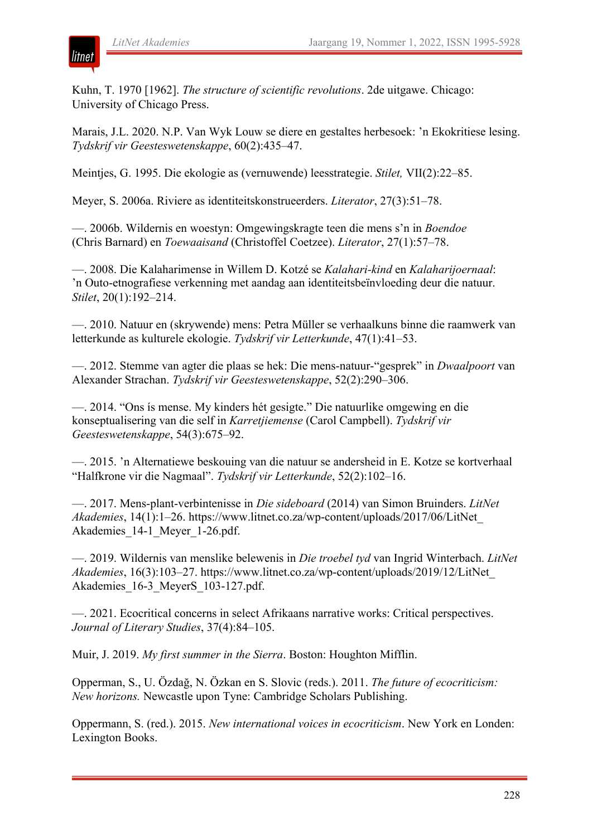

Kuhn, T. 1970 [1962]. *The structure of scientific revolutions*. 2de uitgawe. Chicago: University of Chicago Press.

Marais, J.L. 2020. N.P. Van Wyk Louw se diere en gestaltes herbesoek: 'n Ekokritiese lesing. *Tydskrif vir Geesteswetenskappe*, 60(2):435–47.

Meintjes, G. 1995. Die ekologie as (vernuwende) leesstrategie. *Stilet,* VII(2):22–85.

Meyer, S. 2006a. Riviere as identiteitskonstrueerders. *Literator*, 27(3):51–78.

—. 2006b. Wildernis en woestyn: Omgewingskragte teen die mens s'n in *Boendoe* (Chris Barnard) en *Toewaaisand* (Christoffel Coetzee). *Literator*, 27(1):57–78.

—. 2008. Die Kalaharimense in Willem D. Kotzé se *Kalahari-kind* en *Kalaharijoernaal*: 'n Outo-etnografiese verkenning met aandag aan identiteitsbeïnvloeding deur die natuur. *Stilet*, 20(1):192–214.

—. 2010. Natuur en (skrywende) mens: Petra Müller se verhaalkuns binne die raamwerk van letterkunde as kulturele ekologie. *Tydskrif vir Letterkunde*, 47(1):41–53.

—. 2012. Stemme van agter die plaas se hek: Die mens-natuur-"gesprek" in *Dwaalpoort* van Alexander Strachan. *Tydskrif vir Geesteswetenskappe*, 52(2):290–306.

—. 2014. "Ons ís mense. My kinders hét gesigte." Die natuurlike omgewing en die konseptualisering van die self in *Karretjiemense* (Carol Campbell). *Tydskrif vir Geesteswetenskappe*, 54(3):675–92.

—. 2015. 'n Alternatiewe beskouing van die natuur se andersheid in E. Kotze se kortverhaal "Halfkrone vir die Nagmaal". *Tydskrif vir Letterkunde*, 52(2):102–16.

—. 2017. Mens-plant-verbintenisse in *Die sideboard* (2014) van Simon Bruinders. *LitNet Akademies*, 14(1):1–26. https://www.litnet.co.za/wp-content/uploads/2017/06/LitNet\_ Akademies 14-1 Meyer 1-26.pdf.

—. 2019. Wildernis van menslike belewenis in *Die troebel tyd* van Ingrid Winterbach. *LitNet Akademies*, 16(3):103–27. https://www.litnet.co.za/wp-content/uploads/2019/12/LitNet\_ Akademies 16-3 MeyerS 103-127.pdf.

—. 2021. Ecocritical concerns in select Afrikaans narrative works: Critical perspectives. *Journal of Literary Studies*, 37(4):84–105.

Muir, J. 2019. *My first summer in the Sierra*. Boston: Houghton Mifflin.

Opperman, S., U. Özdağ, N. Özkan en S. Slovic (reds.). 2011. *The future of ecocriticism: New horizons.* Newcastle upon Tyne: Cambridge Scholars Publishing.

Oppermann, S. (red.). 2015. *New international voices in ecocriticism*. New York en Londen: Lexington Books.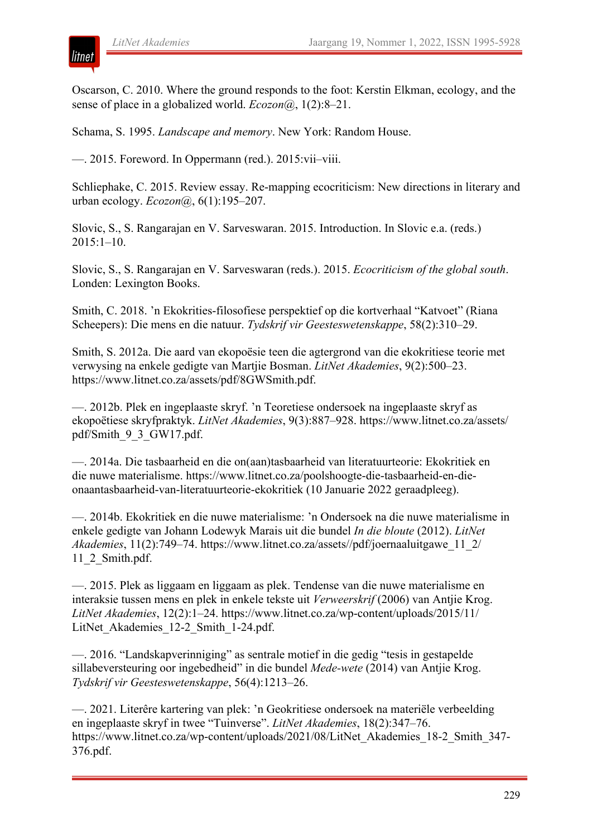litnet

Oscarson, C. 2010. Where the ground responds to the foot: Kerstin Elkman, ecology, and the sense of place in a globalized world. *Ecozon@*, 1(2):8–21.

Schama, S. 1995. *Landscape and memory*. New York: Random House.

—. 2015. Foreword. In Oppermann (red.). 2015:vii–viii.

Schliephake, C. 2015. Review essay. Re-mapping ecocriticism: New directions in literary and urban ecology. *Ecozon@*, 6(1):195–207.

Slovic, S., S. Rangarajan en V. Sarveswaran. 2015. Introduction. In Slovic e.a. (reds.) 2015:1–10.

Slovic, S., S. Rangarajan en V. Sarveswaran (reds.). 2015. *Ecocriticism of the global south*. Londen: Lexington Books.

Smith, C. 2018. 'n Ekokrities-filosofiese perspektief op die kortverhaal "Katvoet" (Riana Scheepers): Die mens en die natuur. *Tydskrif vir Geesteswetenskappe*, 58(2):310–29.

Smith, S. 2012a. Die aard van ekopoësie teen die agtergrond van die ekokritiese teorie met verwysing na enkele gedigte van Martjie Bosman. *LitNet Akademies*, 9(2):500–23. https://www.litnet.co.za/assets/pdf/8GWSmith.pdf.

—. 2012b. Plek en ingeplaaste skryf. 'n Teoretiese ondersoek na ingeplaaste skryf as ekopoëtiese skryfpraktyk. *LitNet Akademies*, 9(3):887–928. https://www.litnet.co.za/assets/ pdf/Smith\_9\_3\_GW17.pdf.

—. 2014a. Die tasbaarheid en die on(aan)tasbaarheid van literatuurteorie: Ekokritiek en die nuwe materialisme. https://www.litnet.co.za/poolshoogte-die-tasbaarheid-en-dieonaantasbaarheid-van-literatuurteorie-ekokritiek (10 Januarie 2022 geraadpleeg).

—. 2014b. Ekokritiek en die nuwe materialisme: 'n Ondersoek na die nuwe materialisme in enkele gedigte van Johann Lodewyk Marais uit die bundel *In die bloute* (2012). *LitNet Akademies*, 11(2):749–74. https://www.litnet.co.za/assets//pdf/joernaaluitgawe\_11\_2/ 11\_2\_Smith.pdf.

—. 2015. Plek as liggaam en liggaam as plek. Tendense van die nuwe materialisme en interaksie tussen mens en plek in enkele tekste uit *Verweerskrif* (2006) van Antjie Krog. *LitNet Akademies*, 12(2):1–24. https://www.litnet.co.za/wp-content/uploads/2015/11/ LitNet Akademies 12-2 Smith 1-24.pdf.

—. 2016. "Landskapverinniging" as sentrale motief in die gedig "tesis in gestapelde sillabeversteuring oor ingebedheid" in die bundel *Mede-wete* (2014) van Antjie Krog. *Tydskrif vir Geesteswetenskappe*, 56(4):1213–26.

—. 2021. Literêre kartering van plek: 'n Geokritiese ondersoek na materiële verbeelding en ingeplaaste skryf in twee "Tuinverse". *LitNet Akademies*, 18(2):347–76. https://www.litnet.co.za/wp-content/uploads/2021/08/LitNet\_Akademies\_18-2\_Smith\_347- 376.pdf.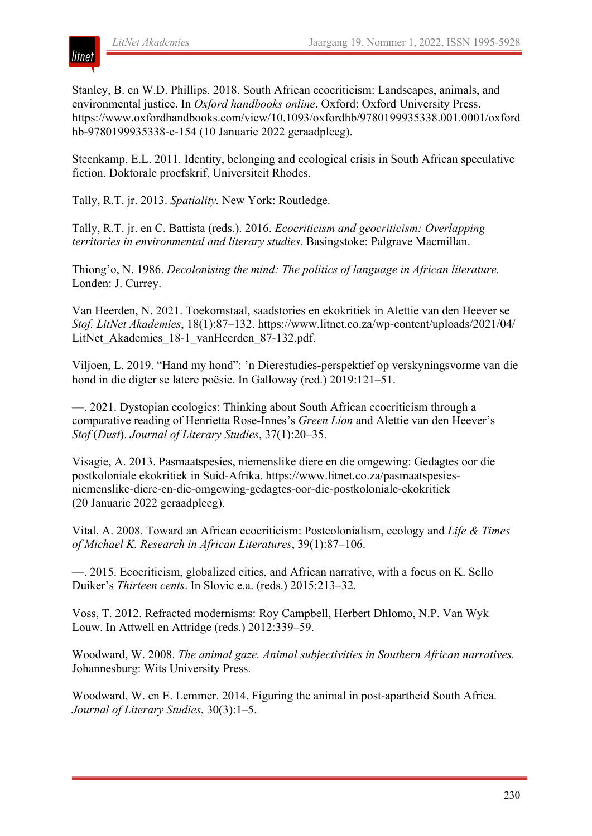

Stanley, B. en W.D. Phillips. 2018. South African ecocriticism: Landscapes, animals, and environmental justice. In *Oxford handbooks online*. Oxford: Oxford University Press. https://www.oxfordhandbooks.com/view/10.1093/oxfordhb/9780199935338.001.0001/oxford hb-9780199935338-e-154 (10 Januarie 2022 geraadpleeg).

Steenkamp, E.L. 2011. Identity, belonging and ecological crisis in South African speculative fiction. Doktorale proefskrif, Universiteit Rhodes.

Tally, R.T. jr. 2013. *Spatiality.* New York: Routledge.

Tally, R.T. jr. en C. Battista (reds.). 2016. *Ecocriticism and geocriticism: Overlapping territories in environmental and literary studies*. Basingstoke: Palgrave Macmillan.

Thiong'o, N. 1986. *Decolonising the mind: The politics of language in African literature.* Londen: J. Currey.

Van Heerden, N. 2021. Toekomstaal, saadstories en ekokritiek in Alettie van den Heever se *Stof. LitNet Akademies*, 18(1):87–132. https://www.litnet.co.za/wp-content/uploads/2021/04/ LitNet Akademies 18-1 vanHeerden 87-132.pdf.

Viljoen, L. 2019. "Hand my hond": 'n Dierestudies-perspektief op verskyningsvorme van die hond in die digter se latere poësie. In Galloway (red.) 2019:121–51.

—. 2021. Dystopian ecologies: Thinking about South African ecocriticism through a comparative reading of Henrietta Rose-Innes's *Green Lion* and Alettie van den Heever's *Stof* (*Dust*). *Journal of Literary Studies*, 37(1):20–35.

Visagie, A. 2013. Pasmaatspesies, niemenslike diere en die omgewing: Gedagtes oor die postkoloniale ekokritiek in Suid-Afrika. https://www.litnet.co.za/pasmaatspesiesniemenslike-diere-en-die-omgewing-gedagtes-oor-die-postkoloniale-ekokritiek (20 Januarie 2022 geraadpleeg).

Vital, A. 2008. Toward an African ecocriticism: Postcolonialism, ecology and *Life & Times of Michael K. Research in African Literatures*, 39(1):87–106.

—. 2015. Ecocriticism, globalized cities, and African narrative, with a focus on K. Sello Duiker's *Thirteen cents*. In Slovic e.a. (reds.) 2015:213–32.

Voss, T. 2012. Refracted modernisms: Roy Campbell, Herbert Dhlomo, N.P. Van Wyk Louw. In Attwell en Attridge (reds.) 2012:339–59.

Woodward, W. 2008. *The animal gaze. Animal subjectivities in Southern African narratives.* Johannesburg: Wits University Press.

Woodward, W. en E. Lemmer. 2014. Figuring the animal in post-apartheid South Africa. *Journal of Literary Studies*, 30(3):1–5.